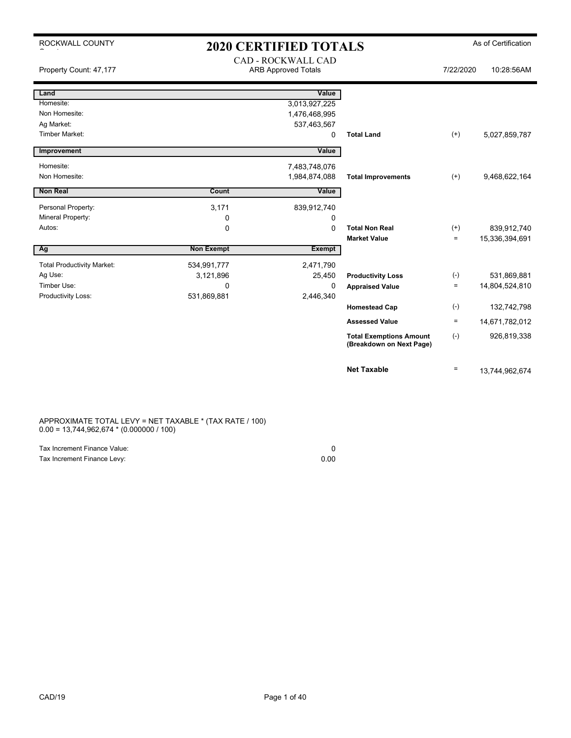| ROCKWALL COUNTY                   |                   | <b>2020 CERTIFIED TOTALS</b> |                                                            |           | As of Certification |
|-----------------------------------|-------------------|------------------------------|------------------------------------------------------------|-----------|---------------------|
|                                   |                   | CAD - ROCKWALL CAD           |                                                            |           |                     |
| Property Count: 47,177            |                   | <b>ARB Approved Totals</b>   |                                                            | 7/22/2020 | 10:28:56AM          |
|                                   |                   |                              |                                                            |           |                     |
| Land                              |                   | Value                        |                                                            |           |                     |
| Homesite:                         |                   | 3,013,927,225                |                                                            |           |                     |
| Non Homesite:                     |                   | 1,476,468,995                |                                                            |           |                     |
| Ag Market:                        |                   | 537,463,567                  |                                                            |           |                     |
| <b>Timber Market:</b>             |                   | 0                            | <b>Total Land</b>                                          | $(+)$     | 5,027,859,787       |
| Improvement                       |                   | Value                        |                                                            |           |                     |
|                                   |                   |                              |                                                            |           |                     |
| Homesite:<br>Non Homesite:        |                   | 7,483,748,076                |                                                            |           |                     |
|                                   |                   | 1,984,874,088                | <b>Total Improvements</b>                                  | $^{(+)}$  | 9,468,622,164       |
| <b>Non Real</b>                   | Count             | Value                        |                                                            |           |                     |
| Personal Property:                | 3,171             | 839,912,740                  |                                                            |           |                     |
| Mineral Property:                 | 0                 | $\mathbf 0$                  |                                                            |           |                     |
| Autos:                            | 0                 | $\Omega$                     | <b>Total Non Real</b>                                      | $^{(+)}$  | 839,912,740         |
|                                   |                   |                              | <b>Market Value</b>                                        | $\equiv$  | 15,336,394,691      |
| Ag                                | <b>Non Exempt</b> | <b>Exempt</b>                |                                                            |           |                     |
| <b>Total Productivity Market:</b> | 534,991,777       | 2,471,790                    |                                                            |           |                     |
| Ag Use:                           | 3,121,896         | 25,450                       | <b>Productivity Loss</b>                                   | $(-)$     | 531,869,881         |
| Timber Use:                       | $\mathbf{0}$      | 0                            | <b>Appraised Value</b>                                     | $\equiv$  | 14,804,524,810      |
| Productivity Loss:                | 531,869,881       | 2,446,340                    |                                                            |           |                     |
|                                   |                   |                              | <b>Homestead Cap</b>                                       | $(-)$     | 132,742,798         |
|                                   |                   |                              | <b>Assessed Value</b>                                      | $\equiv$  | 14,671,782,012      |
|                                   |                   |                              | <b>Total Exemptions Amount</b><br>(Breakdown on Next Page) | $(-)$     | 926,819,338         |
|                                   |                   |                              | <b>Net Taxable</b>                                         | $\equiv$  | 13,744,962,674      |

APPROXIMATE TOTAL LEVY = NET TAXABLE \* (TAX RATE / 100) 0.00 = 13,744,962,674 \* (0.000000 / 100)

| Tax Increment Finance Value: |      |
|------------------------------|------|
| Tax Increment Finance Levy:  | 0.00 |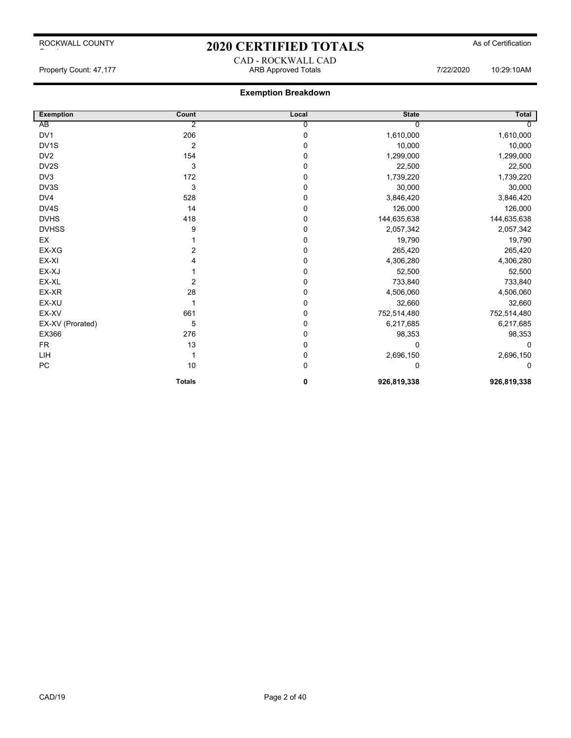# 2020 CERTIFIED TOTALS As of Certification CAD - ROCKWALL CAD

Property Count: 47,177 ARB Approved Totals 7/22/2020 10:29:10AM

| <b>Exemption</b>  | Count          | Local       | <b>State</b> | Total       |
|-------------------|----------------|-------------|--------------|-------------|
| AB                | $\overline{2}$ | 0           |              |             |
| DV1               | 206            | $\mathbf 0$ | 1,610,000    | 1,610,000   |
| DV <sub>1</sub> S | $\overline{2}$ | $\Omega$    | 10,000       | 10,000      |
| DV <sub>2</sub>   | 154            | $\Omega$    | 1,299,000    | 1,299,000   |
| DV2S              | 3              | 0           | 22,500       | 22,500      |
| DV3               | 172            | 0           | 1,739,220    | 1,739,220   |
| DV3S              | 3              | 0           | 30,000       | 30,000      |
| DV4               | 528            | 0           | 3,846,420    | 3,846,420   |
| DV4S              | 14             | 0           | 126,000      | 126,000     |
| <b>DVHS</b>       | 418            | 0           | 144,635,638  | 144,635,638 |
| <b>DVHSS</b>      | 9              | 0           | 2,057,342    | 2,057,342   |
| EX                |                | 0           | 19,790       | 19,790      |
| EX-XG             | 2              | 0           | 265,420      | 265,420     |
| EX-XI             |                | 0           | 4,306,280    | 4,306,280   |
| EX-XJ             |                | 0           | 52,500       | 52,500      |
| EX-XL             | $\overline{2}$ | $\Omega$    | 733,840      | 733,840     |
| EX-XR             | 28             | 0           | 4,506,060    | 4,506,060   |
| EX-XU             |                | 0           | 32,660       | 32,660      |
| EX-XV             | 661            | 0           | 752,514,480  | 752,514,480 |
| EX-XV (Prorated)  | 5              | 0           | 6,217,685    | 6,217,685   |
| EX366             | 276            | 0           | 98,353       | 98,353      |
| FR.               | 13             | 0           | $\Omega$     | 0           |
| LIH               |                | 0           | 2,696,150    | 2,696,150   |
| PC                | 10             | 0           | $\Omega$     | $\Omega$    |
|                   | <b>Totals</b>  | 0           | 926,819,338  | 926,819,338 |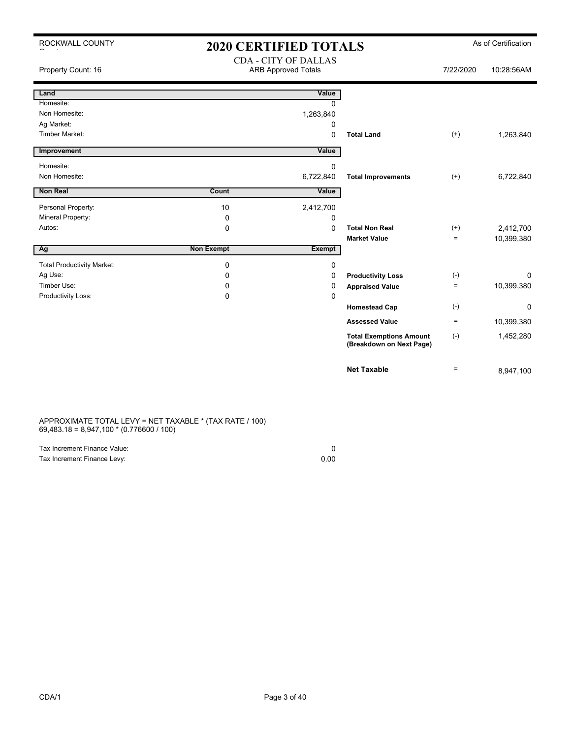| ROCKWALL COUNTY                   | <b>2020 CERTIFIED TOTALS</b> |                                                           |                                                            |                   | As of Certification |
|-----------------------------------|------------------------------|-----------------------------------------------------------|------------------------------------------------------------|-------------------|---------------------|
| Property Count: 16                |                              | <b>CDA - CITY OF DALLAS</b><br><b>ARB Approved Totals</b> |                                                            | 7/22/2020         | 10:28:56AM          |
| Land                              |                              | Value                                                     |                                                            |                   |                     |
| Homesite:                         |                              | $\Omega$                                                  |                                                            |                   |                     |
| Non Homesite:                     |                              | 1,263,840                                                 |                                                            |                   |                     |
| Ag Market:                        |                              | 0                                                         |                                                            |                   |                     |
| <b>Timber Market:</b>             |                              | $\Omega$                                                  | <b>Total Land</b>                                          | $^{(+)}$          | 1,263,840           |
| Improvement                       |                              | Value                                                     |                                                            |                   |                     |
| Homesite:                         |                              | $\mathbf 0$                                               |                                                            |                   |                     |
| Non Homesite:                     |                              | 6,722,840                                                 | <b>Total Improvements</b>                                  | $(+)$             | 6,722,840           |
| Non Real                          | Count                        | Value                                                     |                                                            |                   |                     |
| Personal Property:                | 10                           | 2,412,700                                                 |                                                            |                   |                     |
| Mineral Property:                 | $\mathbf 0$                  | 0                                                         |                                                            |                   |                     |
| Autos:                            | $\mathbf 0$                  | $\Omega$                                                  | <b>Total Non Real</b>                                      | $(+)$             | 2,412,700           |
|                                   |                              |                                                           | <b>Market Value</b>                                        | $=$               | 10,399,380          |
| Ag                                | <b>Non Exempt</b>            | <b>Exempt</b>                                             |                                                            |                   |                     |
| <b>Total Productivity Market:</b> | $\mathbf 0$                  | $\mathbf 0$                                               |                                                            |                   |                     |
| Ag Use:                           | $\mathbf 0$                  | 0                                                         | <b>Productivity Loss</b>                                   | $(-)$             | $\Omega$            |
| Timber Use:                       | 0                            | 0                                                         | <b>Appraised Value</b>                                     | $\qquad \qquad =$ | 10,399,380          |
| Productivity Loss:                | $\Omega$                     | $\Omega$                                                  |                                                            |                   |                     |
|                                   |                              |                                                           | <b>Homestead Cap</b>                                       | $(-)$             | 0                   |
|                                   |                              |                                                           | <b>Assessed Value</b>                                      | $=$               | 10,399,380          |
|                                   |                              |                                                           | <b>Total Exemptions Amount</b><br>(Breakdown on Next Page) | $(-)$             | 1,452,280           |
|                                   |                              |                                                           | <b>Net Taxable</b>                                         | $\equiv$          | 8,947,100           |

APPROXIMATE TOTAL LEVY = NET TAXABLE \* (TAX RATE / 100) 69,483.18 = 8,947,100 \* (0.776600 / 100)

| Tax Increment Finance Value: |      |
|------------------------------|------|
| Tax Increment Finance Levy:  | 0.00 |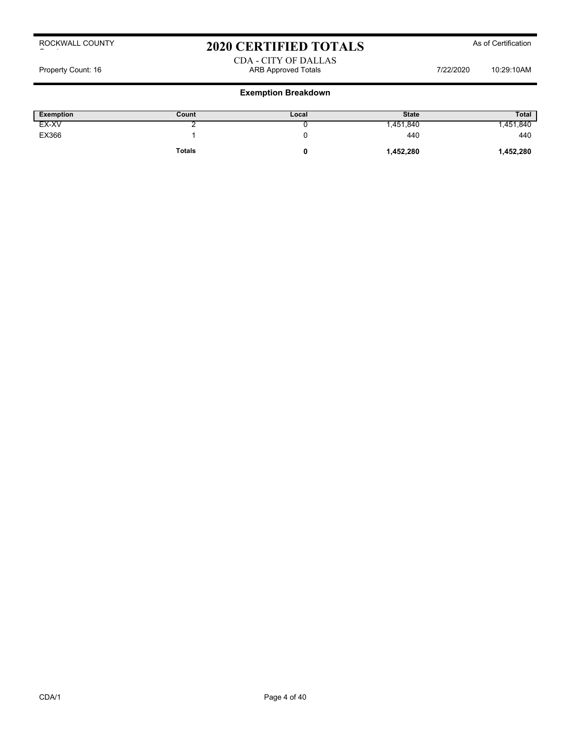# 2020 CERTIFIED TOTALS As of Certification

#### CDA - CITY OF DALLAS Property Count: 16 ARB Approved Totals 7/22/2020 10:29:10AM

| <b>Exemption</b> | Count         | Local | <b>State</b> | <b>Total</b> |
|------------------|---------------|-------|--------------|--------------|
| EX-XV            |               |       | ,451,840     | ,451,840     |
| EX366            |               |       | 440          | 440          |
|                  | <b>Totals</b> |       | 1,452,280    | 1,452,280    |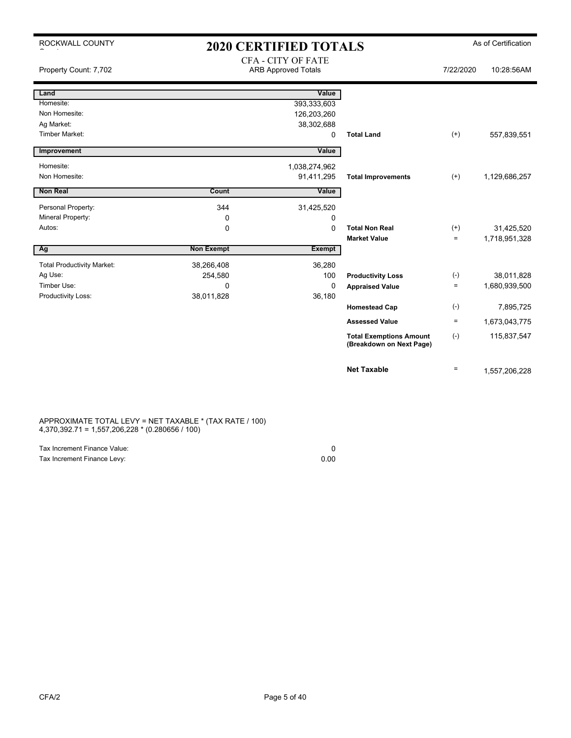| ROCKWALL COUNTY                   |                   | <b>2020 CERTIFIED TOTALS</b> |                                                            |           | As of Certification |
|-----------------------------------|-------------------|------------------------------|------------------------------------------------------------|-----------|---------------------|
|                                   |                   | <b>CFA - CITY OF FATE</b>    |                                                            |           |                     |
| Property Count: 7,702             |                   | <b>ARB Approved Totals</b>   |                                                            | 7/22/2020 | 10:28:56AM          |
|                                   |                   |                              |                                                            |           |                     |
| Land                              |                   | Value                        |                                                            |           |                     |
| Homesite:                         |                   | 393,333,603                  |                                                            |           |                     |
| Non Homesite:                     |                   | 126,203,260                  |                                                            |           |                     |
| Ag Market:                        |                   | 38,302,688                   |                                                            |           |                     |
| <b>Timber Market:</b>             |                   | 0                            | <b>Total Land</b>                                          | $^{(+)}$  | 557,839,551         |
| Improvement                       |                   | Value                        |                                                            |           |                     |
| Homesite:                         |                   | 1,038,274,962                |                                                            |           |                     |
| Non Homesite:                     |                   | 91,411,295                   | <b>Total Improvements</b>                                  | $(+)$     | 1,129,686,257       |
|                                   |                   |                              |                                                            |           |                     |
| <b>Non Real</b>                   | Count             | Value                        |                                                            |           |                     |
| Personal Property:                | 344               | 31,425,520                   |                                                            |           |                     |
| Mineral Property:                 | 0                 | 0                            |                                                            |           |                     |
| Autos:                            | 0                 | $\Omega$                     | <b>Total Non Real</b>                                      | $(+)$     | 31,425,520          |
|                                   |                   |                              | <b>Market Value</b>                                        | $=$       | 1,718,951,328       |
| Ag                                | <b>Non Exempt</b> | Exempt                       |                                                            |           |                     |
| <b>Total Productivity Market:</b> | 38,266,408        | 36,280                       |                                                            |           |                     |
| Ag Use:                           | 254,580           | 100                          | <b>Productivity Loss</b>                                   | $(-)$     | 38,011,828          |
| Timber Use:                       | $\Omega$          | $\Omega$                     | <b>Appraised Value</b>                                     | $=$       | 1,680,939,500       |
| Productivity Loss:                | 38,011,828        | 36,180                       |                                                            |           |                     |
|                                   |                   |                              | <b>Homestead Cap</b>                                       | $(\cdot)$ | 7,895,725           |
|                                   |                   |                              | <b>Assessed Value</b>                                      | $=$       | 1,673,043,775       |
|                                   |                   |                              | <b>Total Exemptions Amount</b><br>(Breakdown on Next Page) | $(-)$     | 115,837,547         |
|                                   |                   |                              | <b>Net Taxable</b>                                         | $=$       | 1,557,206,228       |

APPROXIMATE TOTAL LEVY = NET TAXABLE \* (TAX RATE / 100) 4,370,392.71 = 1,557,206,228 \* (0.280656 / 100)

| Tax Increment Finance Value: |      |
|------------------------------|------|
| Tax Increment Finance Levy:  | 0.00 |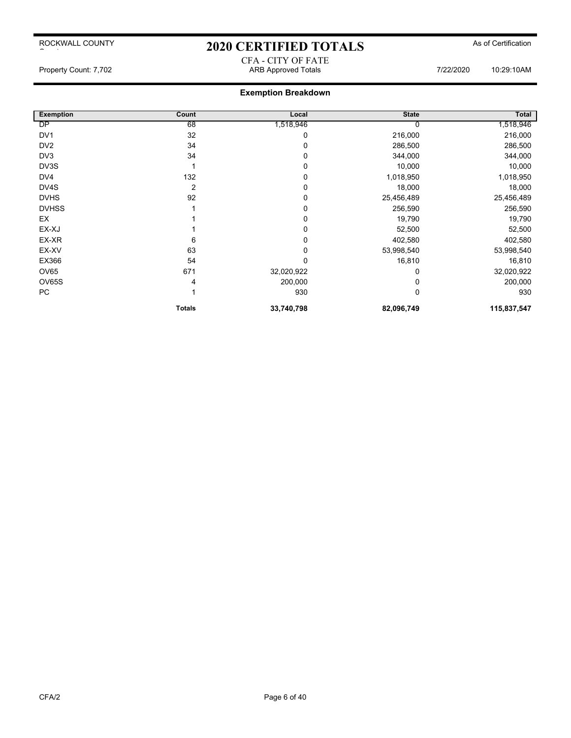# 2020 CERTIFIED TOTALS As of Certification CFA - CITY OF FATE

# **Exemption Breakdown**

| <b>Exemption</b> | Count         | Local      | <b>State</b> | Total       |
|------------------|---------------|------------|--------------|-------------|
| DP               | 68            | 1,518,946  |              | 1,518,946   |
| DV <sub>1</sub>  | 32            | 0          | 216,000      | 216,000     |
| DV <sub>2</sub>  | 34            | 0          | 286,500      | 286,500     |
| DV <sub>3</sub>  | 34            | 0          | 344,000      | 344,000     |
| DV3S             |               | 0          | 10,000       | 10,000      |
| DV4              | 132           | 0          | 1,018,950    | 1,018,950   |
| DV4S             | 2             | 0          | 18,000       | 18,000      |
| <b>DVHS</b>      | 92            | 0          | 25,456,489   | 25,456,489  |
| <b>DVHSS</b>     |               | 0          | 256,590      | 256,590     |
| EX               |               | 0          | 19,790       | 19,790      |
| EX-XJ            |               | 0          | 52,500       | 52,500      |
| EX-XR            | 6             | 0          | 402,580      | 402,580     |
| EX-XV            | 63            | 0          | 53,998,540   | 53,998,540  |
| EX366            | 54            | 0          | 16,810       | 16,810      |
| OV65             | 671           | 32,020,922 | 0            | 32,020,922  |
| OV65S            | 4             | 200,000    |              | 200,000     |
| PC               |               | 930        | 0            | 930         |
|                  | <b>Totals</b> | 33,740,798 | 82,096,749   | 115,837,547 |

Property Count: 7,702 ARB Approved Totals 7/22/2020 10:29:10AM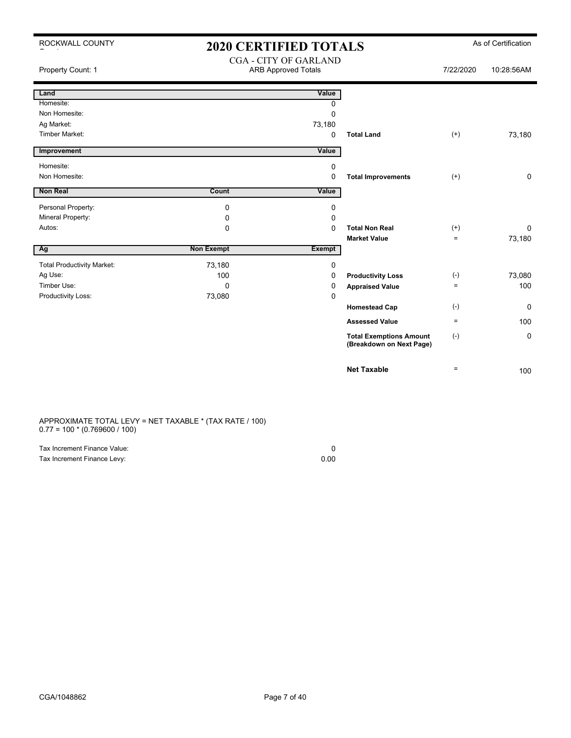| ROCKWALL COUNTY<br>-  | <b>2020 CERTIFIED TOTALS</b> |                                                            |                           |           | As of Certification |
|-----------------------|------------------------------|------------------------------------------------------------|---------------------------|-----------|---------------------|
| Property Count: 1     |                              | <b>CGA - CITY OF GARLAND</b><br><b>ARB Approved Totals</b> |                           | 7/22/2020 | 10:28:56AM          |
| Land                  |                              | Value                                                      |                           |           |                     |
| Homesite:             |                              | 0                                                          |                           |           |                     |
| Non Homesite:         |                              | 0                                                          |                           |           |                     |
| Ag Market:            |                              | 73,180                                                     |                           |           |                     |
| <b>Timber Market:</b> |                              | $\Omega$                                                   | <b>Total Land</b>         | $^{(+)}$  | 73,180              |
| Improvement           |                              | Value                                                      |                           |           |                     |
| Homesite:             |                              | 0                                                          |                           |           |                     |
| Non Homesite:         |                              | $\Omega$                                                   | <b>Total Improvements</b> | $^{(+)}$  | 0                   |
| <b>Non Real</b>       | <b>Count</b>                 | Value                                                      |                           |           |                     |
| Personal Property:    | 0                            | 0                                                          |                           |           |                     |
| Mineral Property:     | 0                            | 0                                                          |                           |           |                     |
| Autos:                | $\Omega$                     | $\Omega$                                                   | <b>Total Non Real</b>     | $^{(+)}$  | 0                   |
|                       |                              |                                                            | <b>Market Value</b>       | $\equiv$  | 73,180              |
| Ag                    | <b>Non Exempt</b>            | Exempt                                                     |                           |           |                     |

| <b>Total Productivity Market:</b> | 73,180 |                          |                    |        |
|-----------------------------------|--------|--------------------------|--------------------|--------|
| Ag Use:                           | 100    | <b>Productivity Loss</b> | $(\textnormal{-})$ | 73,080 |
| Timber Use:                       |        | <b>Appraised Value</b>   | $=$                | 100    |
| Productivity Loss:                | 73,080 |                          |                    |        |
|                                   |        | <b>Homestead Cap</b>     | (-)                | 0      |
|                                   |        | <b>Assessed Value</b>    | $=$                | 100    |

#### APPROXIMATE TOTAL LEVY = NET TAXABLE \* (TAX RATE / 100)  $0.77 = 100 * (0.769600 / 100)$

| Tax Increment Finance Value: |      |
|------------------------------|------|
| Tax Increment Finance Levy:  | 0.00 |

**Total Exemptions Amount** (-) **(Breakdown on Next Page)**

**Net Taxable**  $\qquad \qquad =$  100

0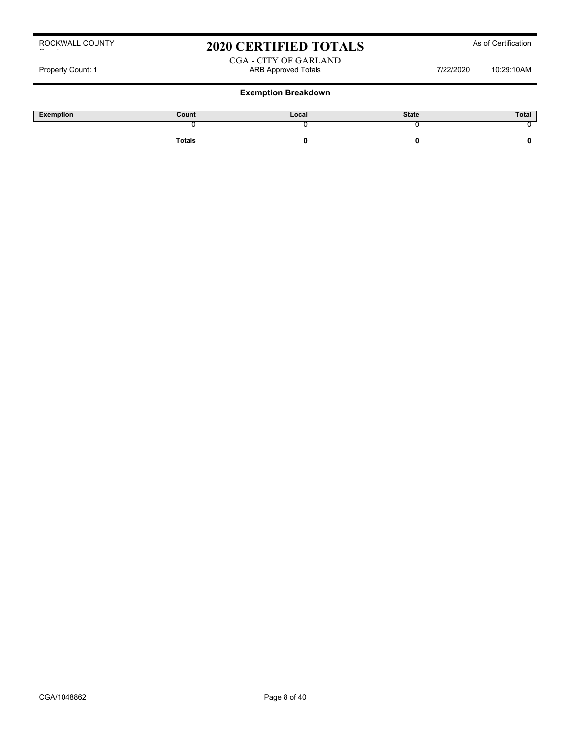# 2020 CERTIFIED TOTALS As of Certification

#### CGA - CITY OF GARLAND Property Count: 1 **ARB Approved Totals** ARB Approved Totals 7/22/2020 10:29:10AM

| Exemption | Count  | Local | <b>State</b> | Total |
|-----------|--------|-------|--------------|-------|
|           |        |       |              |       |
|           | Totals |       |              |       |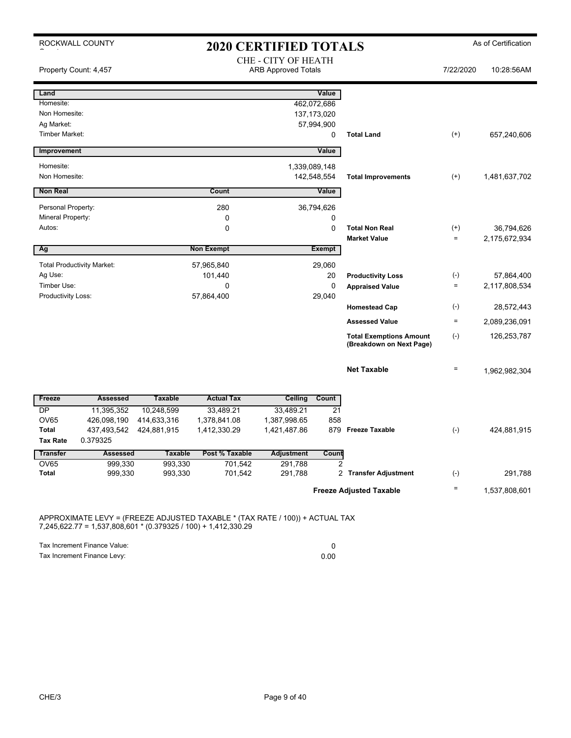| ROCKWALL COUNTY<br><b>2020 CERTIFIED TOTALS</b> |                                   |                |                   |                                                   |                | As of Certification                                        |              |               |
|-------------------------------------------------|-----------------------------------|----------------|-------------------|---------------------------------------------------|----------------|------------------------------------------------------------|--------------|---------------|
|                                                 | Property Count: 4,457             |                |                   | CHE - CITY OF HEATH<br><b>ARB Approved Totals</b> |                |                                                            | 7/22/2020    | 10:28:56AM    |
| Land                                            |                                   |                |                   |                                                   | Value          |                                                            |              |               |
| Homesite:                                       |                                   |                |                   |                                                   | 462,072,686    |                                                            |              |               |
| Non Homesite:                                   |                                   |                |                   |                                                   | 137, 173, 020  |                                                            |              |               |
| Ag Market:                                      |                                   |                |                   |                                                   | 57,994,900     |                                                            |              |               |
| <b>Timber Market:</b>                           |                                   |                |                   |                                                   | 0              | <b>Total Land</b>                                          | $^{(+)}$     | 657,240,606   |
| Improvement                                     |                                   |                |                   |                                                   | Value          |                                                            |              |               |
| Homesite:                                       |                                   |                |                   | 1,339,089,148                                     |                |                                                            |              |               |
| Non Homesite:                                   |                                   |                |                   |                                                   | 142,548,554    | <b>Total Improvements</b>                                  | $^{(+)}$     | 1,481,637,702 |
| <b>Non Real</b>                                 |                                   |                | Count             |                                                   | Value          |                                                            |              |               |
| Personal Property:                              |                                   |                | 280               |                                                   | 36,794,626     |                                                            |              |               |
| Mineral Property:                               |                                   |                | $\mathbf 0$       |                                                   | $\mathbf 0$    |                                                            |              |               |
| Autos:                                          |                                   |                | 0                 |                                                   | $\mathbf 0$    | <b>Total Non Real</b>                                      | $^{(+)}$     | 36,794,626    |
|                                                 |                                   |                |                   |                                                   |                | <b>Market Value</b>                                        | $=$          | 2,175,672,934 |
| Ag                                              |                                   |                | <b>Non Exempt</b> |                                                   | Exempt         |                                                            |              |               |
|                                                 | <b>Total Productivity Market:</b> |                | 57,965,840        |                                                   | 29,060         |                                                            |              |               |
| Ag Use:                                         |                                   |                | 101,440           |                                                   | 20             | <b>Productivity Loss</b>                                   | $(\text{-})$ | 57,864,400    |
| Timber Use:                                     |                                   |                | 0                 |                                                   | $\mathbf 0$    | <b>Appraised Value</b>                                     | $\equiv$     | 2,117,808,534 |
| Productivity Loss:                              |                                   |                | 57,864,400        |                                                   | 29,040         |                                                            |              |               |
|                                                 |                                   |                |                   |                                                   |                | <b>Homestead Cap</b>                                       | $(-)$        | 28,572,443    |
|                                                 |                                   |                |                   |                                                   |                | <b>Assessed Value</b>                                      | $\equiv$     | 2,089,236,091 |
|                                                 |                                   |                |                   |                                                   |                | <b>Total Exemptions Amount</b><br>(Breakdown on Next Page) | $(-)$        | 126,253,787   |
|                                                 |                                   |                |                   |                                                   |                | <b>Net Taxable</b>                                         | $\equiv$     | 1,962,982,304 |
| Freeze                                          | <b>Assessed</b>                   | <b>Taxable</b> | <b>Actual Tax</b> | <b>Ceiling</b>                                    | Count          |                                                            |              |               |
| <b>DP</b>                                       | 11,395,352                        | 10,248,599     | 33,489.21         | 33,489.21                                         | 21             |                                                            |              |               |
| OV65                                            | 426,098,190                       | 414,633,316    | 1,378,841.08      | 1,387,998.65                                      | 858            |                                                            |              |               |
| <b>Total</b>                                    | 437,493,542                       | 424,881,915    | 1,412,330.29      | 1,421,487.86                                      | 879            | <b>Freeze Taxable</b>                                      | $(-)$        | 424,881,915   |
| <b>Tax Rate</b>                                 | 0.379325                          |                |                   |                                                   |                |                                                            |              |               |
| <b>Transfer</b>                                 | <b>Assessed</b>                   | <b>Taxable</b> | Post % Taxable    | <b>Adjustment</b>                                 | Count          |                                                            |              |               |
| <b>OV65</b><br><b>Total</b>                     | 999,330                           | 993,330        | 701,542           | 291,788                                           | $\overline{2}$ |                                                            |              |               |
|                                                 | 999,330                           | 993,330        | 701,542           | 291,788                                           |                | 2 Transfer Adjustment                                      | $(\cdot)$    | 291,788       |
|                                                 |                                   |                |                   |                                                   |                | <b>Freeze Adjusted Taxable</b>                             | $\equiv$     | 1,537,808,601 |

APPROXIMATE LEVY = (FREEZE ADJUSTED TAXABLE \* (TAX RATE / 100)) + ACTUAL TAX 7,245,622.77 = 1,537,808,601 \* (0.379325 / 100) + 1,412,330.29

Tax Increment Finance Value: 0

Tax Increment Finance Levy: 0.00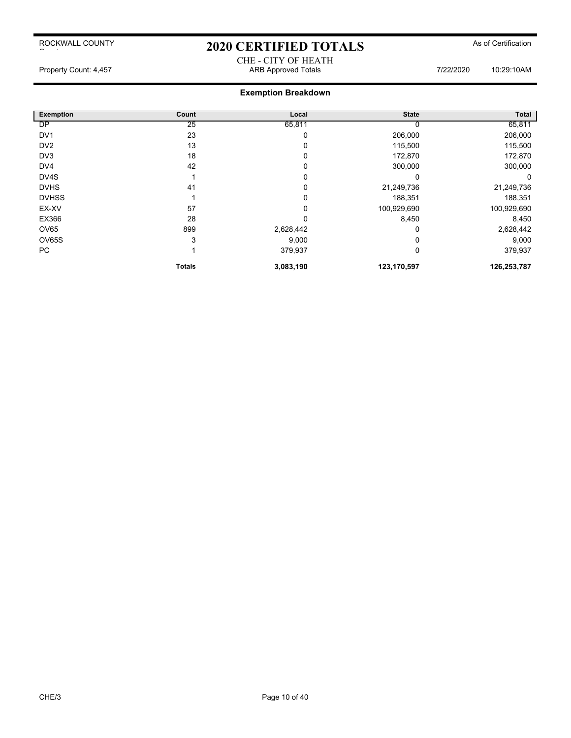# 2020 CERTIFIED TOTALS As of Certification CHE - CITY OF HEATH

Property Count: 4,457 ARB Approved Totals 7/22/2020 10:29:10AM

| <b>Exemption</b> | Count         | Local     | <b>State</b> | Total       |
|------------------|---------------|-----------|--------------|-------------|
| <b>DP</b>        | 25            | 65,811    |              | 65,811      |
| DV <sub>1</sub>  | 23            | 0         | 206,000      | 206,000     |
| DV <sub>2</sub>  | 13            | 0         | 115,500      | 115,500     |
| DV3              | 18            | 0         | 172,870      | 172,870     |
| DV <sub>4</sub>  | 42            | 0         | 300,000      | 300,000     |
| DV4S             |               | 0         | $\Omega$     | $\Omega$    |
| <b>DVHS</b>      | 41            | 0         | 21,249,736   | 21,249,736  |
| <b>DVHSS</b>     |               | 0         | 188,351      | 188,351     |
| EX-XV            | 57            | 0         | 100,929,690  | 100,929,690 |
| EX366            | 28            | 0         | 8,450        | 8,450       |
| OV65             | 899           | 2,628,442 |              | 2,628,442   |
| OV65S            | 3             | 9,000     |              | 9,000       |
| PC               |               | 379,937   | 0            | 379,937     |
|                  | <b>Totals</b> | 3,083,190 | 123,170,597  | 126,253,787 |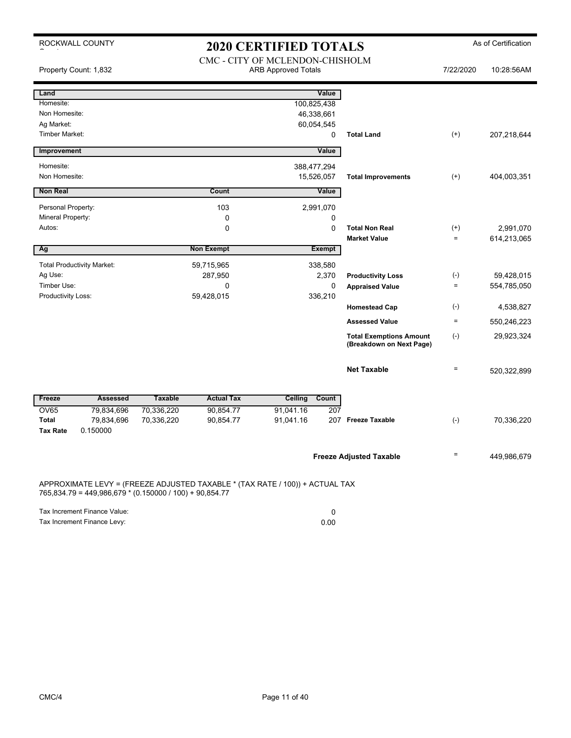ROCKWALL COUNTY

 $\sim$  to the set of the set of the set of the set of the set of the set of the set of the set of the set of the set of the set of the set of the set of the set of the set of the set of the set of the set of the set of the

# 2020 CERTIFIED TOTALS As of Certification

|                       | Property Count: 1,832                                   | CMC - CITY OF MCLENDON-CHISHOLM<br><b>ARB Approved Totals</b> |                                                                              |             |               |                                                            | 7/22/2020    | 10:28:56AM  |
|-----------------------|---------------------------------------------------------|---------------------------------------------------------------|------------------------------------------------------------------------------|-------------|---------------|------------------------------------------------------------|--------------|-------------|
| Land                  |                                                         |                                                               |                                                                              |             | Value         |                                                            |              |             |
| Homesite:             |                                                         |                                                               |                                                                              | 100,825,438 |               |                                                            |              |             |
| Non Homesite:         |                                                         |                                                               |                                                                              | 46,338,661  |               |                                                            |              |             |
| Ag Market:            |                                                         |                                                               |                                                                              | 60,054,545  |               |                                                            |              |             |
| <b>Timber Market:</b> |                                                         |                                                               |                                                                              |             | 0             | <b>Total Land</b>                                          | $^{(+)}$     | 207,218,644 |
| Improvement           |                                                         |                                                               |                                                                              |             | Value         |                                                            |              |             |
| Homesite:             |                                                         |                                                               |                                                                              | 388,477,294 |               |                                                            |              |             |
| Non Homesite:         |                                                         |                                                               |                                                                              | 15,526,057  |               | <b>Total Improvements</b>                                  | $^{(+)}$     | 404,003,351 |
| <b>Non Real</b>       |                                                         |                                                               | Count                                                                        |             | <b>Value</b>  |                                                            |              |             |
| Personal Property:    |                                                         |                                                               | 103                                                                          |             | 2,991,070     |                                                            |              |             |
| Mineral Property:     |                                                         |                                                               | 0                                                                            |             | 0             |                                                            |              |             |
| Autos:                |                                                         |                                                               | 0                                                                            |             | 0             | <b>Total Non Real</b>                                      | $^{(+)}$     | 2,991,070   |
|                       |                                                         |                                                               |                                                                              |             |               | <b>Market Value</b>                                        | $\equiv$     | 614,213,065 |
| Ag                    |                                                         |                                                               | <b>Non Exempt</b>                                                            |             | <b>Exempt</b> |                                                            |              |             |
|                       | <b>Total Productivity Market:</b>                       |                                                               | 59,715,965                                                                   |             | 338,580       |                                                            |              |             |
| Ag Use:               |                                                         |                                                               | 287,950                                                                      |             | 2,370         | <b>Productivity Loss</b>                                   | $(\text{-})$ | 59,428,015  |
| Timber Use:           |                                                         |                                                               | 0                                                                            |             | 0             | <b>Appraised Value</b>                                     | $\equiv$     | 554,785,050 |
| Productivity Loss:    |                                                         |                                                               | 59,428,015                                                                   |             | 336,210       |                                                            |              |             |
|                       |                                                         |                                                               |                                                                              |             |               | <b>Homestead Cap</b>                                       | $(-)$        | 4,538,827   |
|                       |                                                         |                                                               |                                                                              |             |               | <b>Assessed Value</b>                                      | $\equiv$     | 550,246,223 |
|                       |                                                         |                                                               |                                                                              |             |               | <b>Total Exemptions Amount</b><br>(Breakdown on Next Page) | $(-)$        | 29,923,324  |
|                       |                                                         |                                                               |                                                                              |             |               | <b>Net Taxable</b>                                         | $\equiv$     | 520,322,899 |
| Freeze                | <b>Assessed</b>                                         | <b>Taxable</b>                                                | <b>Actual Tax</b>                                                            | Ceiling     | Count         |                                                            |              |             |
| <b>OV65</b>           | 79,834,696                                              | 70,336,220                                                    | 90,854.77                                                                    | 91,041.16   | 207           |                                                            |              |             |
| <b>Total</b>          | 79,834,696                                              | 70,336,220                                                    | 90,854.77                                                                    | 91,041.16   |               | 207 Freeze Taxable                                         | $(-)$        | 70,336,220  |
| <b>Tax Rate</b>       | 0.150000                                                |                                                               |                                                                              |             |               |                                                            |              |             |
|                       |                                                         |                                                               |                                                                              |             |               |                                                            |              |             |
|                       |                                                         |                                                               |                                                                              |             |               | <b>Freeze Adjusted Taxable</b>                             | $\equiv$     | 449,986,679 |
|                       | 765,834.79 = 449,986,679 * (0.150000 / 100) + 90,854.77 |                                                               | APPROXIMATE LEVY = (FREEZE ADJUSTED TAXABLE * (TAX RATE / 100)) + ACTUAL TAX |             |               |                                                            |              |             |
|                       | Tax Increment Finance Value:                            |                                                               |                                                                              |             | 0             |                                                            |              |             |

Tax Increment Finance Levy: 0.00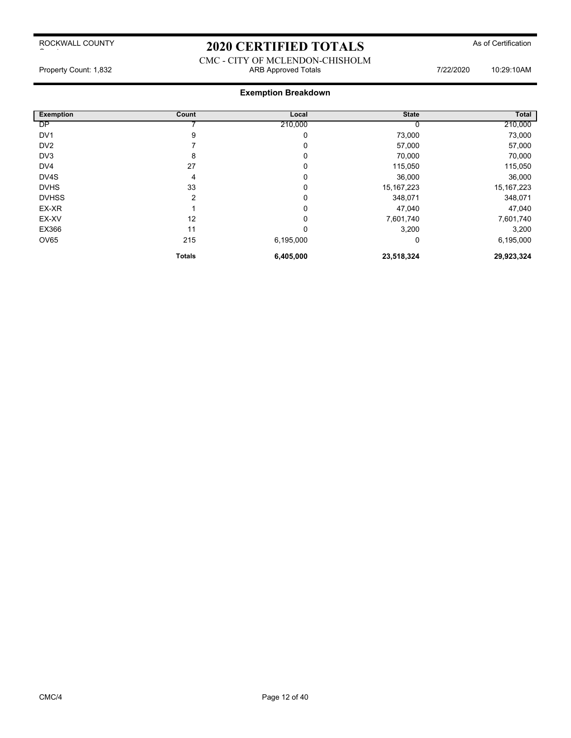# 2020 CERTIFIED TOTALS As of Certification

#### CMC - CITY OF MCLENDON-CHISHOLM Property Count: 1,832 **ARB Approved Totals ARB Approved Totals** 7/22/2020 10:29:10AM

| <b>Exemption</b> | Count         | Local     | <b>State</b> | <b>Total</b> |
|------------------|---------------|-----------|--------------|--------------|
| DP               |               | 210,000   |              | 210,000      |
| DV <sub>1</sub>  | 9             | 0         | 73,000       | 73,000       |
| DV <sub>2</sub>  |               | 0         | 57,000       | 57,000       |
| DV3              | 8             | 0         | 70,000       | 70,000       |
| DV4              | 27            | 0         | 115,050      | 115,050      |
| DV4S             | 4             | 0         | 36,000       | 36,000       |
| <b>DVHS</b>      | 33            | 0         | 15, 167, 223 | 15, 167, 223 |
| <b>DVHSS</b>     | 2             | 0         | 348,071      | 348,071      |
| EX-XR            |               | 0         | 47,040       | 47,040       |
| EX-XV            | 12            | 0         | 7,601,740    | 7,601,740    |
| EX366            | 11            | 0         | 3,200        | 3,200        |
| <b>OV65</b>      | 215           | 6,195,000 | 0            | 6,195,000    |
|                  | <b>Totals</b> | 6,405,000 | 23,518,324   | 29,923,324   |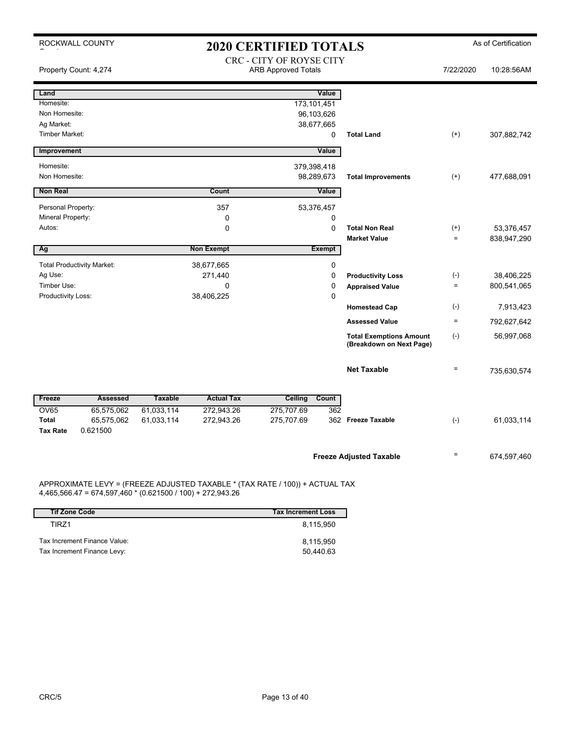| ROCKWALL COUNTY                   | <b>2020 CERTIFIED TOTALS</b>                               |                                                                              | As of Certification                                        |                      |             |
|-----------------------------------|------------------------------------------------------------|------------------------------------------------------------------------------|------------------------------------------------------------|----------------------|-------------|
| Property Count: 4,274             |                                                            | CRC - CITY OF ROYSE CITY<br><b>ARB Approved Totals</b>                       |                                                            | 7/22/2020            | 10:28:56AM  |
| Land                              |                                                            | Value                                                                        |                                                            |                      |             |
| Homesite:<br>Non Homesite:        |                                                            | 173, 101, 451<br>96,103,626                                                  |                                                            |                      |             |
| Ag Market:                        |                                                            | 38,677,665                                                                   |                                                            |                      |             |
| <b>Timber Market:</b>             |                                                            | 0                                                                            | <b>Total Land</b>                                          | $^{(+)}$             | 307,882,742 |
| Improvement                       |                                                            | Value                                                                        |                                                            |                      |             |
| Homesite:                         |                                                            | 379,398,418                                                                  |                                                            |                      |             |
| Non Homesite:                     |                                                            | 98,289,673                                                                   | <b>Total Improvements</b>                                  | $^{(+)}$             | 477,688,091 |
| <b>Non Real</b>                   | Count                                                      | Value                                                                        |                                                            |                      |             |
| Personal Property:                |                                                            | 357<br>53,376,457                                                            |                                                            |                      |             |
| Mineral Property:                 |                                                            | $\mathbf 0$<br>0                                                             |                                                            |                      |             |
| Autos:                            |                                                            | $\Omega$<br>0                                                                | <b>Total Non Real</b><br><b>Market Value</b>               | $^{(+)}$<br>$\equiv$ | 53,376,457  |
| Ag                                | <b>Non Exempt</b>                                          | <b>Exempt</b>                                                                |                                                            |                      | 838,947,290 |
| <b>Total Productivity Market:</b> | 38,677,665                                                 | 0                                                                            |                                                            |                      |             |
| Ag Use:                           | 271,440                                                    | 0                                                                            | <b>Productivity Loss</b>                                   | $(\textnormal{-})$   | 38,406,225  |
| Timber Use:                       |                                                            | $\mathbf 0$<br>0                                                             | <b>Appraised Value</b>                                     | $\equiv$             | 800,541,065 |
| Productivity Loss:                | 38,406,225                                                 | 0                                                                            |                                                            | $(-)$                |             |
|                                   |                                                            |                                                                              | <b>Homestead Cap</b><br><b>Assessed Value</b>              | $\equiv$             | 7,913,423   |
|                                   |                                                            |                                                                              |                                                            |                      | 792,627,642 |
|                                   |                                                            |                                                                              | <b>Total Exemptions Amount</b><br>(Breakdown on Next Page) | $(-)$                | 56,997,068  |
|                                   |                                                            |                                                                              | <b>Net Taxable</b>                                         | $=$                  |             |
|                                   |                                                            |                                                                              |                                                            |                      | 735,630,574 |
| Freeze<br><b>Assessed</b>         | <b>Taxable</b>                                             | <b>Actual Tax</b><br>Count<br><b>Ceiling</b>                                 |                                                            |                      |             |
| <b>OV65</b><br>65,575,062         | 61,033,114<br>272,943.26                                   | 275,707.69<br>362                                                            |                                                            |                      |             |
| <b>Total</b><br>65,575,062        | 61,033,114<br>272,943.26                                   | 275,707.69                                                                   | 362 Freeze Taxable                                         | $(-)$                | 61,033,114  |
| <b>Tax Rate</b><br>0.621500       |                                                            |                                                                              |                                                            |                      |             |
|                                   |                                                            |                                                                              | <b>Freeze Adjusted Taxable</b>                             | $\quad =$            | 674,597,460 |
|                                   | 4,465,566.47 = 674,597,460 * (0.621500 / 100) + 272,943.26 | APPROXIMATE LEVY = (FREEZE ADJUSTED TAXABLE * (TAX RATE / 100)) + ACTUAL TAX |                                                            |                      |             |

| <b>Tif Zone Code</b>         | <b>Tax Increment Loss</b> |
|------------------------------|---------------------------|
| TIR71                        | 8.115.950                 |
| Tax Increment Finance Value: | 8,115,950                 |
| Tax Increment Finance Levy:  | 50.440.63                 |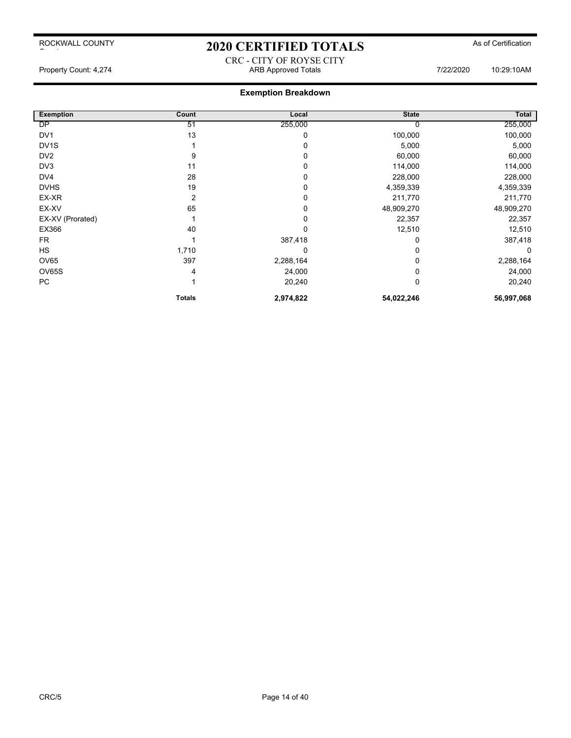# 2020 CERTIFIED TOTALS As of Certification

CRC - CITY OF ROYSE CITY Property Count: 4,274 **ARB Approved Totals ARB Approved Totals** 7/22/2020 10:29:10AM

| <b>Exemption</b>  | Count          | Local     | <b>State</b> | Total      |
|-------------------|----------------|-----------|--------------|------------|
| DP                | 51             | 255,000   |              | 255,000    |
| DV <sub>1</sub>   | 13             | 0         | 100,000      | 100,000    |
| DV <sub>1</sub> S |                | 0         | 5,000        | 5,000      |
| DV <sub>2</sub>   | 9              | 0         | 60,000       | 60,000     |
| DV3               | 11             | 0         | 114,000      | 114,000    |
| DV4               | 28             | 0         | 228,000      | 228,000    |
| <b>DVHS</b>       | 19             | 0         | 4,359,339    | 4,359,339  |
| EX-XR             | $\overline{2}$ | 0         | 211,770      | 211,770    |
| EX-XV             | 65             | 0         | 48,909,270   | 48,909,270 |
| EX-XV (Prorated)  |                | 0         | 22,357       | 22,357     |
| EX366             | 40             | 0         | 12,510       | 12,510     |
| <b>FR</b>         |                | 387,418   |              | 387,418    |
| <b>HS</b>         | 1,710          | 0         |              |            |
| <b>OV65</b>       | 397            | 2,288,164 |              | 2,288,164  |
| OV65S             | 4              | 24,000    |              | 24,000     |
| PC                |                | 20,240    | $\Omega$     | 20,240     |
|                   | <b>Totals</b>  | 2,974,822 | 54,022,246   | 56,997,068 |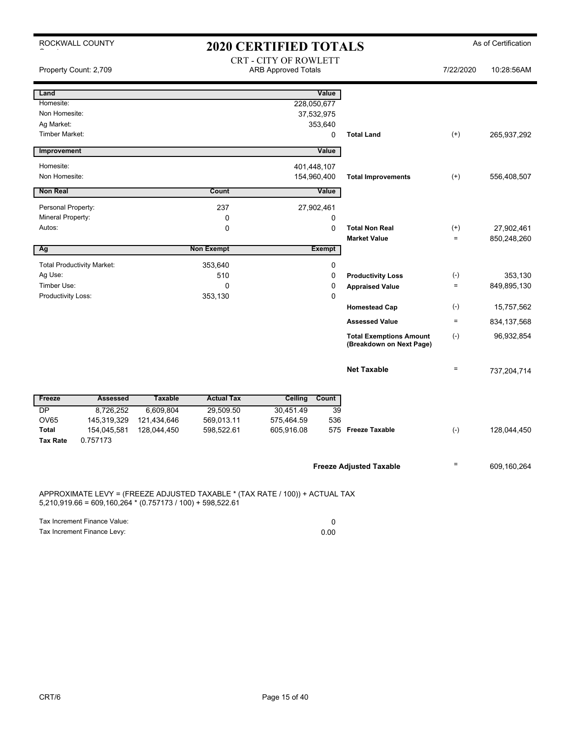| ROCKWALL COUNTY<br><b>2020 CERTIFIED TOTALS</b> |                                                              |                                                     |                     |                                                                              |                 |                                                            |                   | As of Certification |
|-------------------------------------------------|--------------------------------------------------------------|-----------------------------------------------------|---------------------|------------------------------------------------------------------------------|-----------------|------------------------------------------------------------|-------------------|---------------------|
| Property Count: 2,709                           |                                                              | CRT - CITY OF ROWLETT<br><b>ARB Approved Totals</b> |                     |                                                                              |                 |                                                            | 7/22/2020         | 10:28:56AM          |
| Land                                            |                                                              |                                                     |                     |                                                                              | Value           |                                                            |                   |                     |
| Homesite:                                       |                                                              |                                                     |                     |                                                                              | 228,050,677     |                                                            |                   |                     |
| Non Homesite:                                   |                                                              |                                                     |                     |                                                                              | 37,532,975      |                                                            |                   |                     |
| Ag Market:<br><b>Timber Market:</b>             |                                                              |                                                     |                     |                                                                              | 353,640<br>0    | <b>Total Land</b>                                          | $^{(+)}$          | 265,937,292         |
|                                                 |                                                              |                                                     |                     |                                                                              |                 |                                                            |                   |                     |
| Improvement                                     |                                                              |                                                     |                     |                                                                              | Value           |                                                            |                   |                     |
| Homesite:                                       |                                                              |                                                     |                     |                                                                              | 401,448,107     |                                                            |                   |                     |
| Non Homesite:                                   |                                                              |                                                     |                     |                                                                              | 154,960,400     | <b>Total Improvements</b>                                  | $^{(+)}$          | 556,408,507         |
| <b>Non Real</b>                                 |                                                              |                                                     | Count               |                                                                              | Value           |                                                            |                   |                     |
| Personal Property:                              |                                                              |                                                     | 237                 |                                                                              | 27,902,461      |                                                            |                   |                     |
| Mineral Property:                               |                                                              |                                                     | 0                   |                                                                              | 0               |                                                            |                   |                     |
| Autos:                                          |                                                              |                                                     | $\Omega$            |                                                                              | $\Omega$        | <b>Total Non Real</b>                                      | $^{(+)}$          | 27,902,461          |
|                                                 |                                                              |                                                     |                     |                                                                              |                 | <b>Market Value</b>                                        | $=$               | 850,248,260         |
| Ag                                              |                                                              |                                                     | <b>Non Exempt</b>   |                                                                              | <b>Exempt</b>   |                                                            |                   |                     |
|                                                 | <b>Total Productivity Market:</b>                            |                                                     | 353,640             |                                                                              | 0               |                                                            |                   |                     |
| Ag Use:                                         |                                                              |                                                     | 510                 |                                                                              | $\mathbf 0$     | <b>Productivity Loss</b>                                   | $(\text{-})$      | 353,130             |
| Timber Use:<br>Productivity Loss:               |                                                              |                                                     | $\Omega$<br>353,130 |                                                                              | 0<br>0          | <b>Appraised Value</b>                                     | $\equiv$          | 849,895,130         |
|                                                 |                                                              |                                                     |                     |                                                                              |                 | <b>Homestead Cap</b>                                       | $(\cdot)$         | 15,757,562          |
|                                                 |                                                              |                                                     |                     |                                                                              |                 | <b>Assessed Value</b>                                      | $=$               | 834, 137, 568       |
|                                                 |                                                              |                                                     |                     |                                                                              |                 | <b>Total Exemptions Amount</b><br>(Breakdown on Next Page) | $(\cdot)$         | 96,932,854          |
|                                                 |                                                              |                                                     |                     |                                                                              |                 | <b>Net Taxable</b>                                         | $\equiv$          | 737,204,714         |
| Freeze                                          | <b>Assessed</b>                                              | <b>Taxable</b>                                      | <b>Actual Tax</b>   | <b>Ceiling</b>                                                               | Count           |                                                            |                   |                     |
| $\overline{DP}$                                 | 8,726,252                                                    | 6,609,804                                           | 29,509.50           | 30,451.49                                                                    | $\overline{39}$ |                                                            |                   |                     |
| <b>OV65</b>                                     | 145,319,329                                                  | 121,434,646                                         | 569,013.11          | 575,464.59                                                                   | 536             |                                                            |                   |                     |
| <b>Total</b><br><b>Tax Rate</b>                 | 154,045,581<br>0.757173                                      | 128,044,450                                         | 598,522.61          | 605,916.08                                                                   |                 | 575 Freeze Taxable                                         | $(-)$             | 128,044,450         |
|                                                 |                                                              |                                                     |                     |                                                                              |                 |                                                            |                   |                     |
|                                                 |                                                              |                                                     |                     |                                                                              |                 | <b>Freeze Adjusted Taxable</b>                             | $\qquad \qquad =$ | 609,160,264         |
|                                                 | $5,210,919.66 = 609,160,264 * (0.757173 / 100) + 598,522.61$ |                                                     |                     | APPROXIMATE LEVY = (FREEZE ADJUSTED TAXABLE * (TAX RATE / 100)) + ACTUAL TAX |                 |                                                            |                   |                     |

| Tax Increment Finance Value: |      |
|------------------------------|------|
| Tax Increment Finance Levy:  | 0.00 |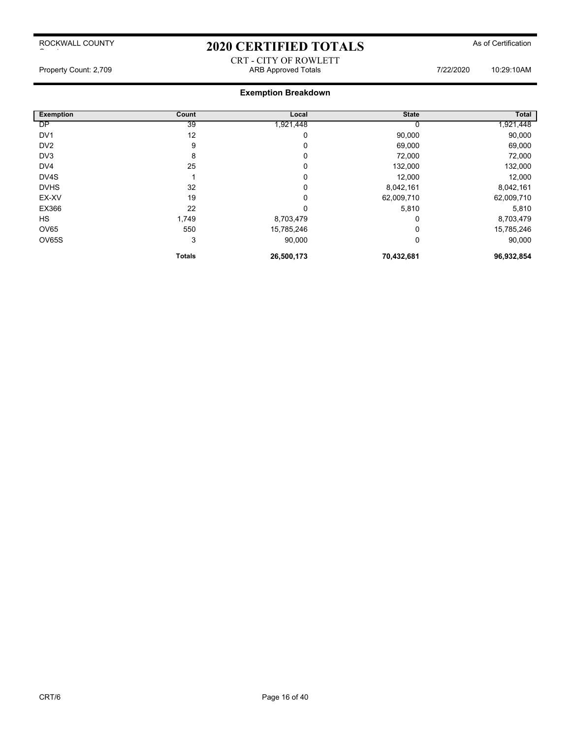# 2020 CERTIFIED TOTALS As of Certification

### CRT - CITY OF ROWLETT Property Count: 2,709 **ARB Approved Totals ARB Approved Totals** 7/22/2020 10:29:10AM

| <b>Exemption</b> | Count         | Local      | <b>State</b> | Total      |
|------------------|---------------|------------|--------------|------------|
| DP               | 39            | 1,921,448  |              | 1,921,448  |
| DV <sub>1</sub>  | 12            | 0          | 90,000       | 90,000     |
| DV <sub>2</sub>  | 9             | 0          | 69,000       | 69,000     |
| DV <sub>3</sub>  | 8             | 0          | 72,000       | 72,000     |
| DV4              | 25            | 0          | 132,000      | 132,000    |
| DV4S             |               | 0          | 12,000       | 12,000     |
| <b>DVHS</b>      | 32            | 0          | 8,042,161    | 8,042,161  |
| EX-XV            | 19            | 0          | 62,009,710   | 62,009,710 |
| EX366            | 22            | 0          | 5,810        | 5,810      |
| <b>HS</b>        | 1,749         | 8,703,479  | 0            | 8,703,479  |
| <b>OV65</b>      | 550           | 15,785,246 |              | 15,785,246 |
| OV65S            | 3             | 90,000     | 0            | 90,000     |
|                  | <b>Totals</b> | 26,500,173 | 70,432,681   | 96,932,854 |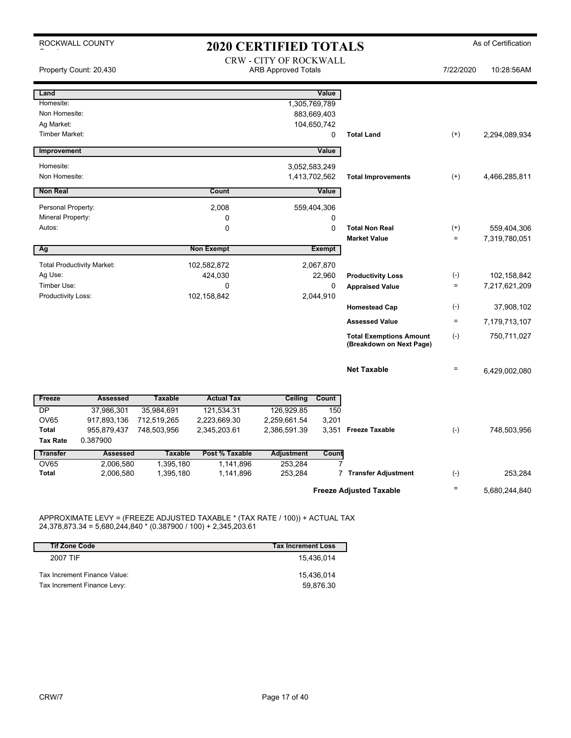|                                   | ROCKWALL COUNTY<br><b>2020 CERTIFIED TOTALS</b> |                                                             |                        |                    |                          | As of Certification                                        |                 |               |
|-----------------------------------|-------------------------------------------------|-------------------------------------------------------------|------------------------|--------------------|--------------------------|------------------------------------------------------------|-----------------|---------------|
|                                   | Property Count: 20,430                          | <b>CRW - CITY OF ROCKWALL</b><br><b>ARB Approved Totals</b> |                        |                    |                          | 7/22/2020                                                  | 10:28:56AM      |               |
| Land                              |                                                 |                                                             |                        |                    | Value                    |                                                            |                 |               |
| Homesite:                         |                                                 |                                                             |                        |                    | 1,305,769,789            |                                                            |                 |               |
| Non Homesite:                     |                                                 |                                                             |                        |                    | 883,669,403              |                                                            |                 |               |
| Ag Market:                        |                                                 |                                                             |                        |                    | 104,650,742              |                                                            |                 |               |
| <b>Timber Market:</b>             |                                                 |                                                             |                        |                    | 0                        | <b>Total Land</b>                                          | $^{(+)}$        | 2,294,089,934 |
| Improvement                       |                                                 |                                                             |                        |                    | Value                    |                                                            |                 |               |
| Homesite:                         |                                                 |                                                             |                        |                    | 3,052,583,249            |                                                            |                 |               |
| Non Homesite:                     |                                                 |                                                             |                        |                    | 1,413,702,562            | <b>Total Improvements</b>                                  | $^{(+)}$        | 4,466,285,811 |
| <b>Non Real</b>                   |                                                 |                                                             | Count                  |                    | Value                    |                                                            |                 |               |
| Personal Property:                |                                                 |                                                             | 2,008                  |                    | 559,404,306              |                                                            |                 |               |
| Mineral Property:                 |                                                 |                                                             | 0                      |                    | 0                        |                                                            |                 |               |
| Autos:                            |                                                 |                                                             | 0                      |                    | $\mathbf 0$              | <b>Total Non Real</b>                                      | $^{(+)}$        | 559,404,306   |
|                                   |                                                 |                                                             |                        |                    |                          | <b>Market Value</b>                                        | $\equiv$        | 7,319,780,051 |
| Ag                                |                                                 |                                                             | <b>Non Exempt</b>      |                    | <b>Exempt</b>            |                                                            |                 |               |
|                                   | <b>Total Productivity Market:</b>               |                                                             | 102,582,872            |                    | 2,067,870                |                                                            |                 |               |
| Ag Use:                           |                                                 |                                                             | 424,030                |                    | 22,960                   | <b>Productivity Loss</b>                                   | $(-)$           | 102,158,842   |
| Timber Use:<br>Productivity Loss: |                                                 |                                                             | 0<br>102,158,842       |                    | $\mathbf 0$<br>2,044,910 | <b>Appraised Value</b>                                     | $\quad \  \  =$ | 7,217,621,209 |
|                                   |                                                 |                                                             |                        |                    |                          | <b>Homestead Cap</b>                                       | $(-)$           | 37,908,102    |
|                                   |                                                 |                                                             |                        |                    |                          | <b>Assessed Value</b>                                      | $\equiv$        | 7,179,713,107 |
|                                   |                                                 |                                                             |                        |                    |                          | <b>Total Exemptions Amount</b><br>(Breakdown on Next Page) | $(-)$           | 750,711,027   |
|                                   |                                                 |                                                             |                        |                    |                          | <b>Net Taxable</b>                                         | $\equiv$        | 6,429,002,080 |
| Freeze                            | <b>Assessed</b>                                 | <b>Taxable</b>                                              | <b>Actual Tax</b>      | Ceiling            | Count                    |                                                            |                 |               |
| <b>DP</b>                         | 37,986,301                                      | 35,984,691                                                  | 121,534.31             | 126,929.85         | 150                      |                                                            |                 |               |
| <b>OV65</b>                       | 917,893,136                                     | 712,519,265                                                 | 2,223,669.30           | 2,259,661.54       | 3,201                    |                                                            |                 |               |
| <b>Total</b>                      | 955,879,437                                     | 748,503,956                                                 | 2,345,203.61           | 2,386,591.39       |                          | 3,351 Freeze Taxable                                       | $(-)$           | 748,503,956   |
| <b>Tax Rate</b>                   | 0.387900                                        |                                                             |                        |                    |                          |                                                            |                 |               |
| <b>Transfer</b>                   | <b>Assessed</b>                                 | <b>Taxable</b>                                              | Post % Taxable         | Adjustment         | Count                    |                                                            |                 |               |
| <b>OV65</b><br><b>Total</b>       | 2,006,580<br>2,006,580                          | 1,395,180<br>1,395,180                                      | 1,141,896<br>1,141,896 | 253,284<br>253,284 |                          | 7 Transfer Adjustment                                      | $(\cdot)$       | 253,284       |
|                                   |                                                 |                                                             |                        |                    |                          |                                                            |                 |               |
|                                   |                                                 |                                                             |                        |                    |                          | <b>Freeze Adjusted Taxable</b>                             | $\equiv$        | 5,680,244,840 |

APPROXIMATE LEVY = (FREEZE ADJUSTED TAXABLE \* (TAX RATE / 100)) + ACTUAL TAX 24,378,873.34 = 5,680,244,840 \* (0.387900 / 100) + 2,345,203.61

| <b>Tif Zone Code</b>         | <b>Tax Increment Loss</b> |
|------------------------------|---------------------------|
| 2007 TIF                     | 15.436.014                |
| Tax Increment Finance Value: | 15.436.014                |
| Tax Increment Finance Levy:  | 59.876.30                 |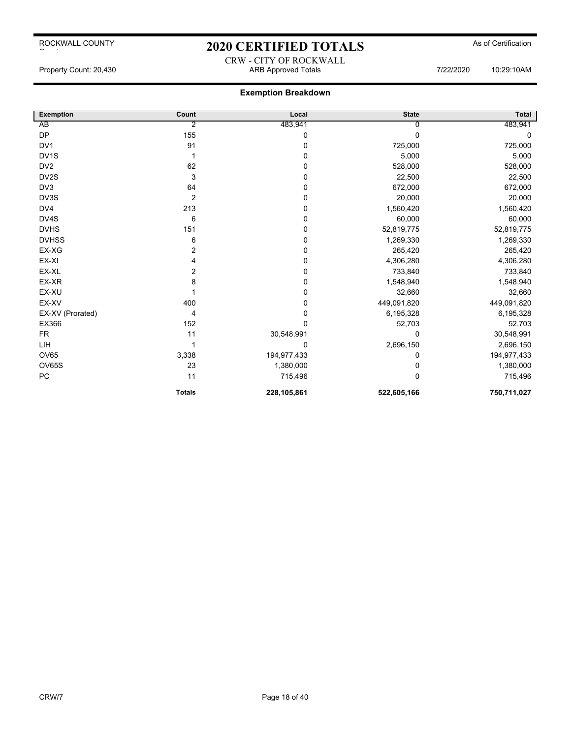# 2020 CERTIFIED TOTALS As of Certification CRW - CITY OF ROCKWALL

Property Count: 20,430 **ARB Approved Totals ARB Approved Totals** 7/22/2020 10:29:10AM

| <b>Exemption</b>  | Count         | Local       | <b>State</b> | <b>Total</b> |
|-------------------|---------------|-------------|--------------|--------------|
| AB                | 2             | 483,941     |              | 483,941      |
| <b>DP</b>         | 155           | 0           | $\Omega$     | 0            |
| DV <sub>1</sub>   | 91            | 0           | 725,000      | 725,000      |
| DV <sub>1</sub> S |               | $\mathbf 0$ | 5,000        | 5,000        |
| DV <sub>2</sub>   | 62            | 0           | 528,000      | 528,000      |
| DV2S              | 3             | 0           | 22,500       | 22,500       |
| DV <sub>3</sub>   | 64            | 0           | 672,000      | 672,000      |
| DV3S              | 2             | 0           | 20,000       | 20,000       |
| DV4               | 213           | 0           | 1,560,420    | 1,560,420    |
| DV4S              | 6             | 0           | 60,000       | 60,000       |
| <b>DVHS</b>       | 151           | 0           | 52,819,775   | 52,819,775   |
| <b>DVHSS</b>      | 6             | $\mathbf 0$ | 1,269,330    | 1,269,330    |
| EX-XG             | 2             | 0           | 265,420      | 265,420      |
| EX-XI             | 4             | $\mathbf 0$ | 4,306,280    | 4,306,280    |
| EX-XL             | 2             | $\mathbf 0$ | 733,840      | 733,840      |
| EX-XR             | 8             | 0           | 1,548,940    | 1,548,940    |
| EX-XU             |               | 0           | 32,660       | 32,660       |
| EX-XV             | 400           | 0           | 449,091,820  | 449,091,820  |
| EX-XV (Prorated)  | 4             | 0           | 6,195,328    | 6,195,328    |
| EX366             | 152           | $\mathbf 0$ | 52,703       | 52,703       |
| <b>FR</b>         | 11            | 30,548,991  | 0            | 30,548,991   |
| LIH               |               | 0           | 2,696,150    | 2,696,150    |
| OV65              | 3,338         | 194,977,433 | 0            | 194,977,433  |
| OV65S             | 23            | 1,380,000   | 0            | 1,380,000    |
| PC                | 11            | 715,496     | 0            | 715,496      |
|                   | <b>Totals</b> | 228,105,861 | 522,605,166  | 750,711,027  |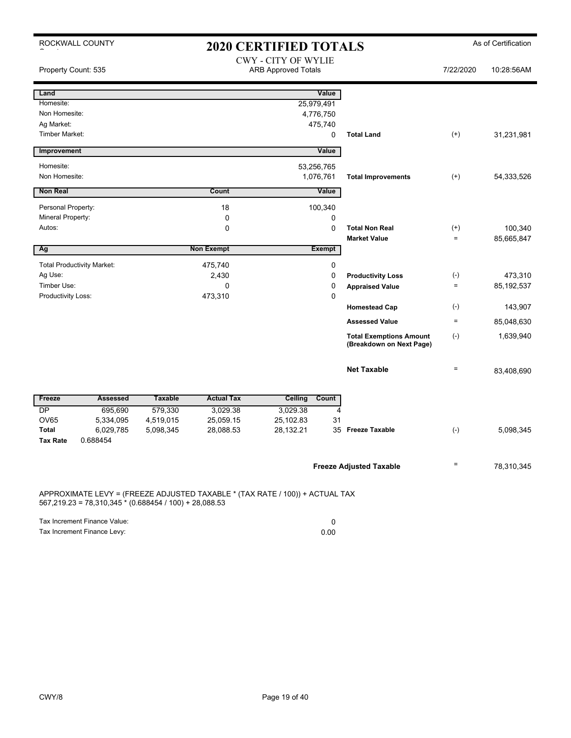|                                                                                                                                          | ROCKWALL COUNTY                   |                |                   | <b>2020 CERTIFIED TOTALS</b>                             |                                                            |                                   | As of Certification |
|------------------------------------------------------------------------------------------------------------------------------------------|-----------------------------------|----------------|-------------------|----------------------------------------------------------|------------------------------------------------------------|-----------------------------------|---------------------|
| Property Count: 535                                                                                                                      |                                   |                |                   | <b>CWY - CITY OF WYLIE</b><br><b>ARB Approved Totals</b> |                                                            | 7/22/2020                         | 10:28:56AM          |
| Land                                                                                                                                     |                                   |                |                   | Value                                                    |                                                            |                                   |                     |
| Homesite:                                                                                                                                |                                   |                |                   | 25,979,491                                               |                                                            |                                   |                     |
| Non Homesite:                                                                                                                            |                                   |                |                   | 4,776,750                                                |                                                            |                                   |                     |
| Ag Market:<br><b>Timber Market:</b>                                                                                                      |                                   |                |                   | 475,740<br>0                                             | <b>Total Land</b>                                          | $(+)$                             | 31,231,981          |
|                                                                                                                                          |                                   |                |                   |                                                          |                                                            |                                   |                     |
| Improvement                                                                                                                              |                                   |                |                   | Value                                                    |                                                            |                                   |                     |
| Homesite:                                                                                                                                |                                   |                |                   | 53,256,765                                               |                                                            |                                   |                     |
| Non Homesite:                                                                                                                            |                                   |                |                   | 1,076,761                                                | <b>Total Improvements</b>                                  | $(+)$                             | 54,333,526          |
| <b>Non Real</b>                                                                                                                          |                                   |                | Count             | Value                                                    |                                                            |                                   |                     |
| Personal Property:                                                                                                                       |                                   |                | 18                | 100,340                                                  |                                                            |                                   |                     |
| Mineral Property:                                                                                                                        |                                   |                | 0                 | 0                                                        |                                                            |                                   |                     |
| Autos:                                                                                                                                   |                                   |                | 0                 | 0                                                        | <b>Total Non Real</b>                                      | $^{(+)}$                          | 100,340             |
|                                                                                                                                          |                                   |                |                   |                                                          | <b>Market Value</b>                                        | $=$                               | 85,665,847          |
| Ag                                                                                                                                       |                                   |                | <b>Non Exempt</b> | <b>Exempt</b>                                            |                                                            |                                   |                     |
|                                                                                                                                          | <b>Total Productivity Market:</b> |                | 475,740           | 0                                                        |                                                            |                                   |                     |
| Ag Use:                                                                                                                                  |                                   |                | 2,430             | 0                                                        | <b>Productivity Loss</b>                                   | $(\text{-})$<br>$\qquad \qquad =$ | 473,310             |
| Timber Use:<br>Productivity Loss:                                                                                                        |                                   |                | 0<br>473,310      | 0<br>0                                                   | <b>Appraised Value</b>                                     |                                   | 85, 192, 537        |
|                                                                                                                                          |                                   |                |                   |                                                          | <b>Homestead Cap</b>                                       | $(\cdot)$                         | 143,907             |
|                                                                                                                                          |                                   |                |                   |                                                          | <b>Assessed Value</b>                                      | $\equiv$                          | 85,048,630          |
|                                                                                                                                          |                                   |                |                   |                                                          | <b>Total Exemptions Amount</b><br>(Breakdown on Next Page) | $(-)$                             | 1,639,940           |
|                                                                                                                                          |                                   |                |                   |                                                          | <b>Net Taxable</b>                                         | $\qquad \qquad =$                 | 83,408,690          |
| Freeze                                                                                                                                   | <b>Assessed</b>                   | <b>Taxable</b> | <b>Actual Tax</b> | Ceiling<br>Count                                         |                                                            |                                   |                     |
| DP                                                                                                                                       | 695,690                           | 579,330        | 3,029.38          | 3,029.38                                                 | $\overline{4}$                                             |                                   |                     |
| <b>OV65</b>                                                                                                                              | 5,334,095                         | 4,519,015      | 25,059.15         | 25,102.83<br>31                                          |                                                            |                                   |                     |
| <b>Total</b>                                                                                                                             | 6,029,785                         | 5,098,345      | 28,088.53         | 28,132.21                                                | 35 Freeze Taxable                                          | $(-)$                             | 5,098,345           |
| <b>Tax Rate</b>                                                                                                                          | 0.688454                          |                |                   |                                                          |                                                            |                                   |                     |
|                                                                                                                                          |                                   |                |                   |                                                          | <b>Freeze Adjusted Taxable</b>                             | $\qquad \qquad =$                 | 78,310,345          |
| APPROXIMATE LEVY = (FREEZE ADJUSTED TAXABLE * (TAX RATE / 100)) + ACTUAL TAX<br>$567,219.23 = 78,310,345 * (0.688454 / 100) + 28,088.53$ |                                   |                |                   |                                                          |                                                            |                                   |                     |

Tax Increment Finance Value: 0

Tax Increment Finance Levy: 0.00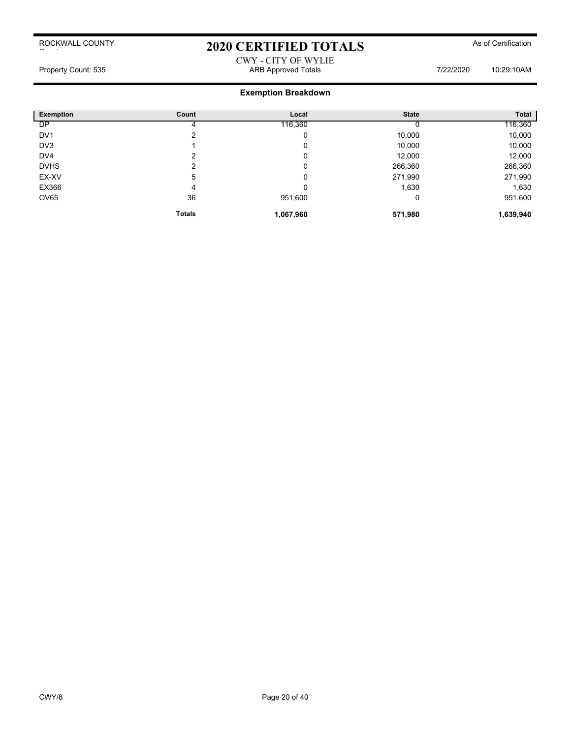# 2020 CERTIFIED TOTALS As of Certification

### CWY - CITY OF WYLIE Property Count: 535 **ARB Approved Totals ARB Approved Totals** 7/22/2020 10:29:10AM

| <b>Exemption</b> | Count         | Local     | <b>State</b> | Total     |
|------------------|---------------|-----------|--------------|-----------|
| DP               |               | 116,360   |              | 116,360   |
| DV <sub>1</sub>  | າ             | 0         | 10,000       | 10,000    |
| DV3              |               | 0         | 10,000       | 10,000    |
| DV <sub>4</sub>  | ົ             | 0         | 12,000       | 12,000    |
| <b>DVHS</b>      | ົ             | 0         | 266,360      | 266,360   |
| EX-XV            | 5             | 0         | 271,990      | 271,990   |
| EX366            | 4             | 0         | 1,630        | 1,630     |
| <b>OV65</b>      | 36            | 951,600   | 0            | 951,600   |
|                  | <b>Totals</b> | 1,067,960 | 571,980      | 1,639,940 |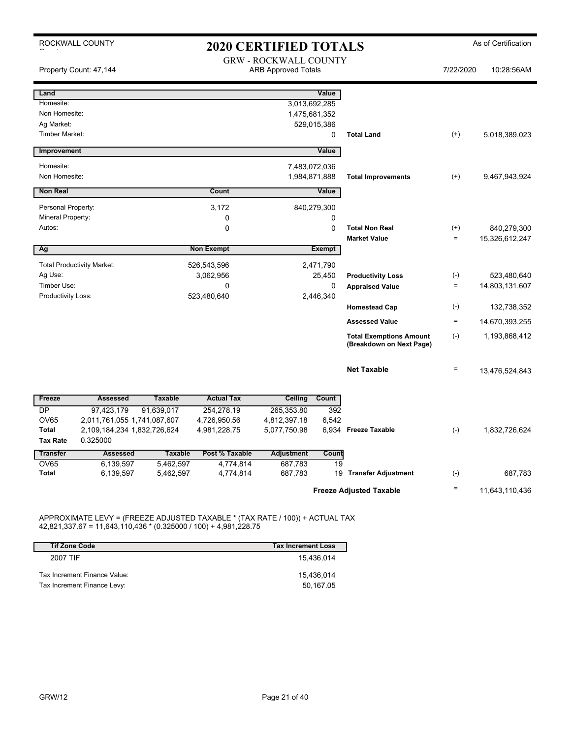|                             | ROCKWALL COUNTY                         |                |                   | <b>2020 CERTIFIED TOTALS</b>                               |               |                                                            |                   | As of Certification           |
|-----------------------------|-----------------------------------------|----------------|-------------------|------------------------------------------------------------|---------------|------------------------------------------------------------|-------------------|-------------------------------|
|                             | Property Count: 47,144                  |                |                   | <b>GRW - ROCKWALL COUNTY</b><br><b>ARB Approved Totals</b> |               |                                                            | 7/22/2020         | 10:28:56AM                    |
| Land                        |                                         |                |                   |                                                            | Value         |                                                            |                   |                               |
| Homesite:                   |                                         |                |                   | 3,013,692,285                                              |               |                                                            |                   |                               |
| Non Homesite:<br>Ag Market: |                                         |                |                   | 1,475,681,352                                              | 529,015,386   |                                                            |                   |                               |
| Timber Market:              |                                         |                |                   |                                                            | 0             | <b>Total Land</b>                                          | $(+)$             | 5,018,389,023                 |
| Improvement                 |                                         |                |                   |                                                            | Value         |                                                            |                   |                               |
| Homesite:                   |                                         |                |                   | 7,483,072,036                                              |               |                                                            |                   |                               |
| Non Homesite:               |                                         |                |                   | 1,984,871,888                                              |               | <b>Total Improvements</b>                                  | $(+)$             | 9,467,943,924                 |
| <b>Non Real</b>             |                                         |                | Count             |                                                            | Value         |                                                            |                   |                               |
| Personal Property:          |                                         |                | 3,172             |                                                            | 840,279,300   |                                                            |                   |                               |
| Mineral Property:           |                                         |                | 0                 |                                                            | 0             |                                                            |                   |                               |
| Autos:                      |                                         |                | 0                 |                                                            | 0             | <b>Total Non Real</b>                                      | $^{(+)}$          | 840,279,300                   |
|                             |                                         |                |                   |                                                            |               | <b>Market Value</b>                                        | $\equiv$          | 15,326,612,247                |
| Ag                          |                                         |                | <b>Non Exempt</b> |                                                            | <b>Exempt</b> |                                                            |                   |                               |
|                             | <b>Total Productivity Market:</b>       |                | 526,543,596       |                                                            | 2,471,790     |                                                            |                   |                               |
| Ag Use:<br>Timber Use:      |                                         |                | 3,062,956<br>0    |                                                            | 25,450<br>0   | <b>Productivity Loss</b><br><b>Appraised Value</b>         | $(-)$<br>$\equiv$ | 523,480,640<br>14,803,131,607 |
| Productivity Loss:          |                                         |                | 523,480,640       |                                                            | 2,446,340     |                                                            |                   |                               |
|                             |                                         |                |                   |                                                            |               | <b>Homestead Cap</b>                                       | $(-)$             | 132,738,352                   |
|                             |                                         |                |                   |                                                            |               | <b>Assessed Value</b>                                      | $\equiv$          | 14,670,393,255                |
|                             |                                         |                |                   |                                                            |               | <b>Total Exemptions Amount</b><br>(Breakdown on Next Page) | $(-)$             | 1,193,868,412                 |
|                             |                                         |                |                   |                                                            |               | <b>Net Taxable</b>                                         | $\equiv$          | 13,476,524,843                |
| Freeze                      | <b>Assessed</b>                         | <b>Taxable</b> | <b>Actual Tax</b> | Ceiling                                                    | Count         |                                                            |                   |                               |
| <b>DP</b>                   | 97,423,179                              | 91,639,017     | 254,278.19        | 265,353.80                                                 | 392           |                                                            |                   |                               |
| <b>OV65</b>                 | 2,011,761,055 1,741,087,607             |                | 4,726,950.56      | 4,812,397.18                                               | 6,542         |                                                            |                   |                               |
| Total<br><b>Tax Rate</b>    | 2,109,184,234 1,832,726,624<br>0.325000 |                | 4,981,228.75      | 5,077,750.98                                               |               | 6,934 Freeze Taxable                                       | $(-)$             | 1,832,726,624                 |
| <b>Transfer</b>             | <b>Assessed</b>                         | <b>Taxable</b> | Post % Taxable    | <b>Adjustment</b>                                          | Count         |                                                            |                   |                               |
| <b>OV65</b>                 | 6,139,597                               | 5,462,597      | 4,774,814         | 687,783                                                    | 19            |                                                            |                   |                               |
| Total                       | 6,139,597                               | 5,462,597      | 4,774,814         | 687,783                                                    |               | 19 Transfer Adjustment                                     | $(-)$             | 687,783                       |
|                             |                                         |                |                   |                                                            |               | <b>Freeze Adjusted Taxable</b>                             | $\equiv$          | 11,643,110,436                |

APPROXIMATE LEVY = (FREEZE ADJUSTED TAXABLE \* (TAX RATE / 100)) + ACTUAL TAX 42,821,337.67 = 11,643,110,436 \* (0.325000 / 100) + 4,981,228.75

| <b>Tif Zone Code</b>         | <b>Tax Increment Loss</b> |
|------------------------------|---------------------------|
| 2007 TIF                     | 15.436.014                |
| Tax Increment Finance Value: | 15.436.014                |
| Tax Increment Finance Levy:  | 50.167.05                 |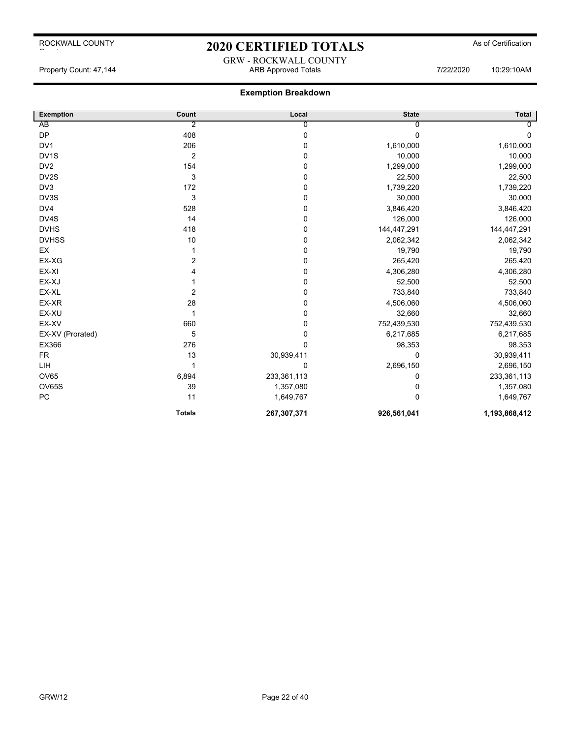# 2020 CERTIFIED TOTALS As of Certification GRW - ROCKWALL COUNTY

Property Count: 47,144 ARB Approved Totals 7/22/2020 10:29:10AM

| <b>Exemption</b>  | Count          | Local          | <b>State</b> | <b>Total</b>  |
|-------------------|----------------|----------------|--------------|---------------|
| AB                | 2              | $\overline{0}$ | 0            | $\Omega$      |
| <b>DP</b>         | 408            | $\pmb{0}$      | 0            | $\mathbf 0$   |
| DV <sub>1</sub>   | 206            | 0              | 1,610,000    | 1,610,000     |
| DV <sub>1</sub> S | $\overline{2}$ | $\mathbf 0$    | 10,000       | 10,000        |
| DV <sub>2</sub>   | 154            | 0              | 1,299,000    | 1,299,000     |
| DV2S              | 3              | $\mathbf 0$    | 22,500       | 22,500        |
| DV <sub>3</sub>   | 172            | 0              | 1,739,220    | 1,739,220     |
| DV3S              | 3              | 0              | 30,000       | 30,000        |
| DV4               | 528            | 0              | 3,846,420    | 3,846,420     |
| DV4S              | 14             | 0              | 126,000      | 126,000       |
| <b>DVHS</b>       | 418            | 0              | 144,447,291  | 144,447,291   |
| <b>DVHSS</b>      | 10             | 0              | 2,062,342    | 2,062,342     |
| EX                |                | $\mathbf 0$    | 19,790       | 19,790        |
| EX-XG             | 2              | 0              | 265,420      | 265,420       |
| EX-XI             | 4              | $\pmb{0}$      | 4,306,280    | 4,306,280     |
| EX-XJ             |                | $\pmb{0}$      | 52,500       | 52,500        |
| EX-XL             | 2              | $\mathbf 0$    | 733,840      | 733,840       |
| EX-XR             | 28             | $\mathbf 0$    | 4,506,060    | 4,506,060     |
| EX-XU             | 1              | 0              | 32,660       | 32,660        |
| EX-XV             | 660            | 0              | 752,439,530  | 752,439,530   |
| EX-XV (Prorated)  | 5              | 0              | 6,217,685    | 6,217,685     |
| EX366             | 276            | 0              | 98,353       | 98,353        |
| <b>FR</b>         | 13             | 30,939,411     | 0            | 30,939,411    |
| LIH               |                | 0              | 2,696,150    | 2,696,150     |
| <b>OV65</b>       | 6,894          | 233,361,113    | 0            | 233,361,113   |
| <b>OV65S</b>      | 39             | 1,357,080      | 0            | 1,357,080     |
| PC                | 11             | 1,649,767      | 0            | 1,649,767     |
|                   | <b>Totals</b>  | 267,307,371    | 926,561,041  | 1,193,868,412 |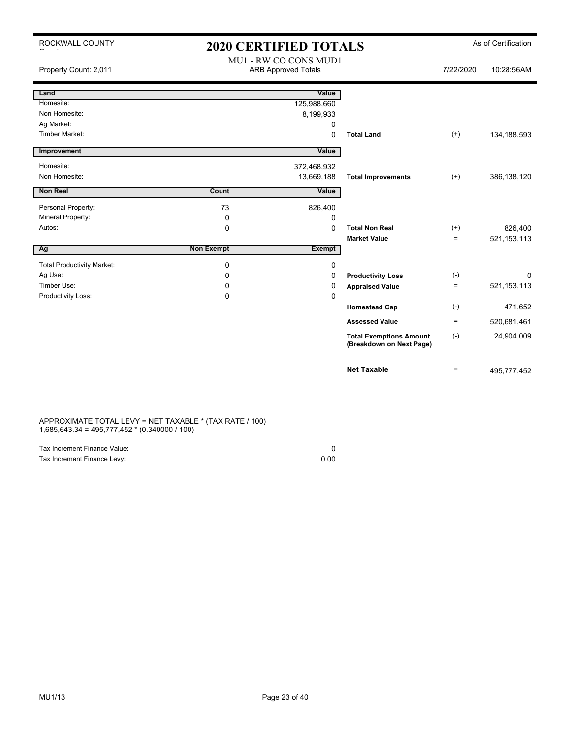| ROCKWALL COUNTY                     | <b>2020 CERTIFIED TOTALS</b> |                                                     |                                                            |                   | As of Certification |
|-------------------------------------|------------------------------|-----------------------------------------------------|------------------------------------------------------------|-------------------|---------------------|
| Property Count: 2,011               |                              | MU1 - RW CO CONS MUD1<br><b>ARB Approved Totals</b> |                                                            | 7/22/2020         | 10:28:56AM          |
| Land                                |                              | Value                                               |                                                            |                   |                     |
| Homesite:                           |                              | 125,988,660                                         |                                                            |                   |                     |
| Non Homesite:                       |                              | 8,199,933                                           |                                                            |                   |                     |
| Ag Market:<br><b>Timber Market:</b> |                              | 0                                                   |                                                            |                   |                     |
|                                     |                              | 0                                                   | <b>Total Land</b>                                          | $^{(+)}$          | 134,188,593         |
| Improvement                         |                              | Value                                               |                                                            |                   |                     |
| Homesite:                           |                              | 372,468,932                                         |                                                            |                   |                     |
| Non Homesite:                       |                              | 13,669,188                                          | <b>Total Improvements</b>                                  | $(+)$             | 386, 138, 120       |
| <b>Non Real</b>                     | Count                        | Value                                               |                                                            |                   |                     |
| Personal Property:                  | 73                           | 826,400                                             |                                                            |                   |                     |
| Mineral Property:                   | 0                            | 0                                                   |                                                            |                   |                     |
| Autos:                              | $\mathbf 0$                  | 0                                                   | <b>Total Non Real</b>                                      | $^{(+)}$          | 826,400             |
|                                     |                              |                                                     | <b>Market Value</b>                                        | $=$               | 521, 153, 113       |
| Ag                                  | <b>Non Exempt</b>            | <b>Exempt</b>                                       |                                                            |                   |                     |
| <b>Total Productivity Market:</b>   | 0                            | 0                                                   |                                                            |                   |                     |
| Ag Use:                             | 0                            | 0                                                   | <b>Productivity Loss</b>                                   | $(-)$             | 0                   |
| Timber Use:                         | 0                            | 0                                                   | <b>Appraised Value</b>                                     | $\qquad \qquad =$ | 521, 153, 113       |
| Productivity Loss:                  | 0                            | 0                                                   |                                                            |                   |                     |
|                                     |                              |                                                     | <b>Homestead Cap</b>                                       | $(-)$             | 471,652             |
|                                     |                              |                                                     | <b>Assessed Value</b>                                      | $=$               | 520,681,461         |
|                                     |                              |                                                     | <b>Total Exemptions Amount</b><br>(Breakdown on Next Page) | $(-)$             | 24,904,009          |
|                                     |                              |                                                     | <b>Net Taxable</b>                                         | $\equiv$          | 495,777,452         |
|                                     |                              |                                                     |                                                            |                   |                     |

#### APPROXIMATE TOTAL LEVY = NET TAXABLE \* (TAX RATE / 100) 1,685,643.34 = 495,777,452 \* (0.340000 / 100)

| Tax Increment Finance Value: |      |
|------------------------------|------|
| Tax Increment Finance Levy:  | 0.00 |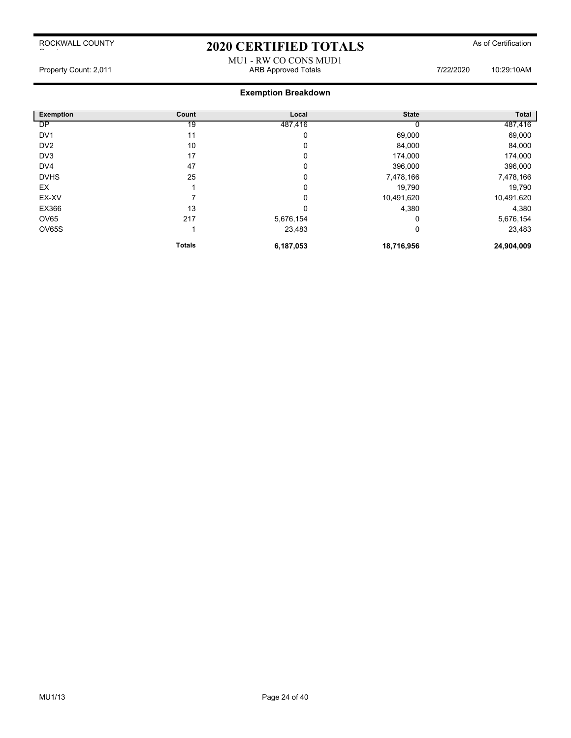# 2020 CERTIFIED TOTALS As of Certification

#### MU1 - RW CO CONS MUD1 Property Count: 2,011 ARB Approved Totals 7/22/2020 10:29:10AM

| <b>Exemption</b> | Count         | Local     | <b>State</b> | Total      |
|------------------|---------------|-----------|--------------|------------|
| <b>DP</b>        | 19            | 487,416   |              | 487,416    |
| DV <sub>1</sub>  | 11            | 0         | 69,000       | 69,000     |
| DV <sub>2</sub>  | 10            | 0         | 84,000       | 84,000     |
| DV3              | 17            | 0         | 174,000      | 174,000    |
| DV <sub>4</sub>  | 47            | 0         | 396,000      | 396,000    |
| <b>DVHS</b>      | 25            | 0         | 7,478,166    | 7,478,166  |
| EX               |               | 0         | 19,790       | 19,790     |
| EX-XV            |               | 0         | 10,491,620   | 10,491,620 |
| EX366            | 13            | 0         | 4,380        | 4,380      |
| OV65             | 217           | 5,676,154 | 0            | 5,676,154  |
| OV65S            |               | 23,483    | 0            | 23,483     |
|                  | <b>Totals</b> | 6,187,053 | 18,716,956   | 24,904,009 |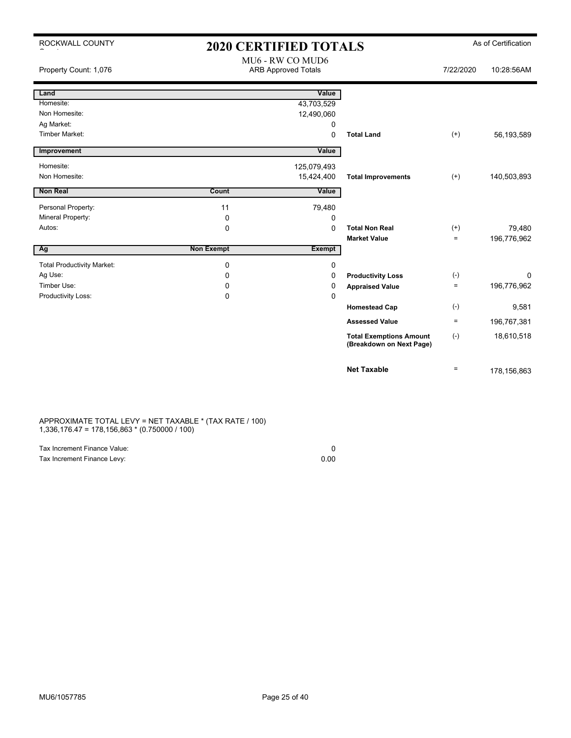| ROCKWALL COUNTY                   | <b>2020 CERTIFIED TOTALS</b> |                                                |                                                            |                    | As of Certification |
|-----------------------------------|------------------------------|------------------------------------------------|------------------------------------------------------------|--------------------|---------------------|
| Property Count: 1,076             |                              | MU6 - RW CO MUD6<br><b>ARB Approved Totals</b> |                                                            | 7/22/2020          | 10:28:56AM          |
| Land                              |                              | Value                                          |                                                            |                    |                     |
| Homesite:                         |                              | 43,703,529                                     |                                                            |                    |                     |
| Non Homesite:                     |                              | 12,490,060                                     |                                                            |                    |                     |
| Ag Market:                        |                              | 0                                              |                                                            |                    |                     |
| <b>Timber Market:</b>             |                              | 0                                              | <b>Total Land</b>                                          | $(+)$              | 56,193,589          |
| Improvement                       |                              | Value                                          |                                                            |                    |                     |
| Homesite:                         |                              | 125,079,493                                    |                                                            |                    |                     |
| Non Homesite:                     |                              | 15,424,400                                     | <b>Total Improvements</b>                                  | $^{(+)}$           | 140,503,893         |
| <b>Non Real</b>                   | Count                        | Value                                          |                                                            |                    |                     |
| Personal Property:                | 11                           | 79,480                                         |                                                            |                    |                     |
| Mineral Property:                 | 0                            | 0                                              |                                                            |                    |                     |
| Autos:                            | $\mathbf 0$                  | 0                                              | <b>Total Non Real</b>                                      | $^{(+)}$           | 79,480              |
|                                   |                              |                                                | <b>Market Value</b>                                        | $\equiv$           | 196,776,962         |
| $\overline{Ag}$                   | <b>Non Exempt</b>            | <b>Exempt</b>                                  |                                                            |                    |                     |
| <b>Total Productivity Market:</b> | $\mathbf 0$                  | 0                                              |                                                            |                    |                     |
| Ag Use:                           | 0                            | 0                                              | <b>Productivity Loss</b>                                   | $(-)$              | 0                   |
| Timber Use:                       | 0                            | 0                                              | <b>Appraised Value</b>                                     | $\equiv$           | 196,776,962         |
| Productivity Loss:                | $\Omega$                     | 0                                              |                                                            |                    |                     |
|                                   |                              |                                                | <b>Homestead Cap</b>                                       | $(\textnormal{-})$ | 9,581               |
|                                   |                              |                                                | <b>Assessed Value</b>                                      | $\equiv$           | 196,767,381         |
|                                   |                              |                                                | <b>Total Exemptions Amount</b><br>(Breakdown on Next Page) | $(-)$              | 18,610,518          |
|                                   |                              |                                                | <b>Net Taxable</b>                                         | $\equiv$           | 178, 156, 863       |

#### APPROXIMATE TOTAL LEVY = NET TAXABLE \* (TAX RATE / 100) 1,336,176.47 = 178,156,863 \* (0.750000 / 100)

| Tax Increment Finance Value: |      |
|------------------------------|------|
| Tax Increment Finance Levy:  | 0.00 |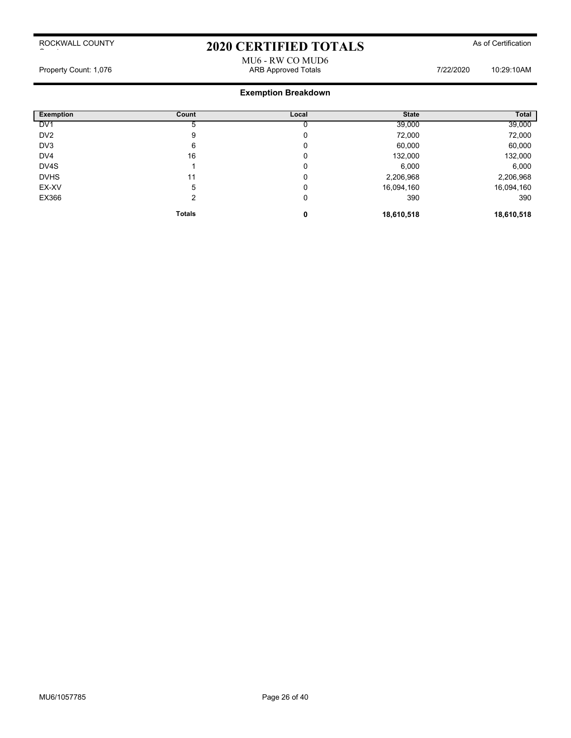# 2020 CERTIFIED TOTALS As of Certification

MU6 - RW CO MUD6 Property Count: 1,076 **ARB Approved Totals** ARB Approved Totals **1/22/2020** 10:29:10AM

| Exemption       | Count         | Local | <b>State</b> | Total      |
|-----------------|---------------|-------|--------------|------------|
| DV <sub>1</sub> |               |       | 39,000       | 39,000     |
| DV <sub>2</sub> | 9             | 0     | 72,000       | 72,000     |
| DV3             | 6             | 0     | 60,000       | 60,000     |
| DV <sub>4</sub> | 16            | 0     | 132,000      | 132,000    |
| DV4S            |               | 0     | 6,000        | 6,000      |
| <b>DVHS</b>     | 11            | 0     | 2,206,968    | 2,206,968  |
| EX-XV           | 5             | 0     | 16,094,160   | 16,094,160 |
| EX366           | $\mathcal{P}$ | 0     | 390          | 390        |
|                 | <b>Totals</b> | 0     | 18,610,518   | 18,610,518 |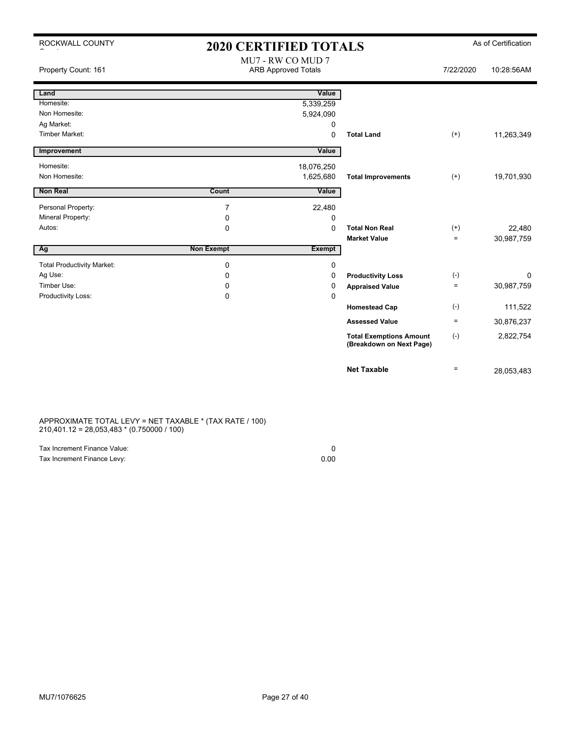| ROCKWALL COUNTY                   |                   | 2020 CERTIFIED TOTALS                           |                                                            |           | As of Certification |
|-----------------------------------|-------------------|-------------------------------------------------|------------------------------------------------------------|-----------|---------------------|
| Property Count: 161               |                   | MU7 - RW CO MUD 7<br><b>ARB Approved Totals</b> |                                                            | 7/22/2020 | 10:28:56AM          |
| Land                              |                   | Value                                           |                                                            |           |                     |
| Homesite:                         |                   | 5,339,259                                       |                                                            |           |                     |
| Non Homesite:                     |                   | 5,924,090                                       |                                                            |           |                     |
| Ag Market:                        |                   | 0                                               |                                                            |           |                     |
| <b>Timber Market:</b>             |                   | 0                                               | <b>Total Land</b>                                          | $^{(+)}$  | 11,263,349          |
| Improvement                       |                   | Value                                           |                                                            |           |                     |
| Homesite:                         |                   | 18,076,250                                      |                                                            |           |                     |
| Non Homesite:                     |                   | 1,625,680                                       | <b>Total Improvements</b>                                  | $(+)$     | 19,701,930          |
| <b>Non Real</b>                   | Count             | Value                                           |                                                            |           |                     |
| Personal Property:                | 7                 | 22,480                                          |                                                            |           |                     |
| Mineral Property:                 | 0                 | 0                                               |                                                            |           |                     |
| Autos:                            | $\Omega$          | $\Omega$                                        | <b>Total Non Real</b>                                      | $^{(+)}$  | 22,480              |
|                                   |                   |                                                 | <b>Market Value</b>                                        | $\equiv$  | 30,987,759          |
| Ag                                | <b>Non Exempt</b> | <b>Exempt</b>                                   |                                                            |           |                     |
| <b>Total Productivity Market:</b> | 0                 | 0                                               |                                                            |           |                     |
| Ag Use:                           | 0                 | 0                                               | <b>Productivity Loss</b>                                   | $(-)$     | 0                   |
| Timber Use:                       | 0                 | 0                                               | <b>Appraised Value</b>                                     | $\equiv$  | 30,987,759          |
| Productivity Loss:                | 0                 | 0                                               |                                                            |           |                     |
|                                   |                   |                                                 | <b>Homestead Cap</b>                                       | $(-)$     | 111,522             |
|                                   |                   |                                                 | <b>Assessed Value</b>                                      | $\equiv$  | 30,876,237          |
|                                   |                   |                                                 | <b>Total Exemptions Amount</b><br>(Breakdown on Next Page) | $(-)$     | 2,822,754           |
|                                   |                   |                                                 | <b>Net Taxable</b>                                         | $\equiv$  | 28,053,483          |

#### APPROXIMATE TOTAL LEVY = NET TAXABLE \* (TAX RATE / 100) 210,401.12 = 28,053,483 \* (0.750000 / 100)

| Tax Increment Finance Value: |      |
|------------------------------|------|
| Tax Increment Finance Levy:  | 0.00 |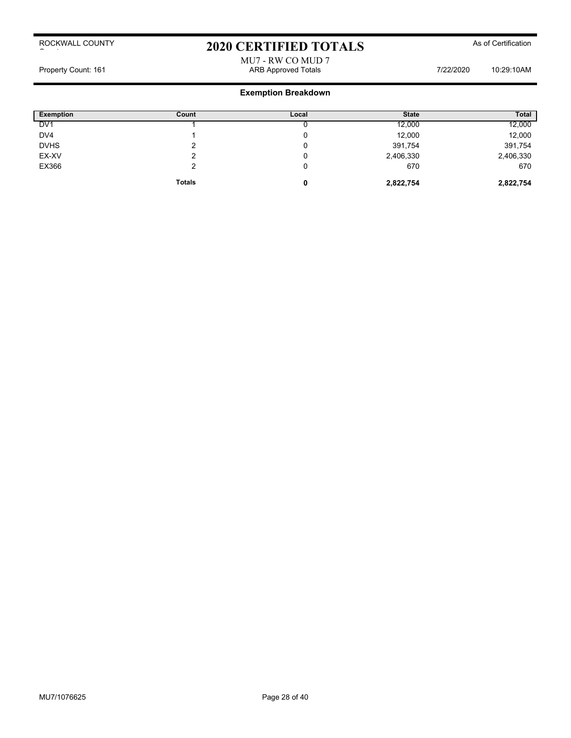# 2020 CERTIFIED TOTALS As of Certification

### MU7 - RW CO MUD 7 Property Count: 161 **ARB Approved Totals ARB Approved Totals** 7/22/2020 10:29:10AM

| <b>Exemption</b> | Count         | Local | <b>State</b> | <b>Total</b> |
|------------------|---------------|-------|--------------|--------------|
| DV <sub>1</sub>  |               |       | 12,000       | 12,000       |
| DV4              |               |       | 12,000       | 12,000       |
| <b>DVHS</b>      |               |       | 391,754      | 391,754      |
| EX-XV            |               |       | 2,406,330    | 2,406,330    |
| EX366            | ົ             |       | 670          | 670          |
|                  | <b>Totals</b> | 0     | 2,822,754    | 2,822,754    |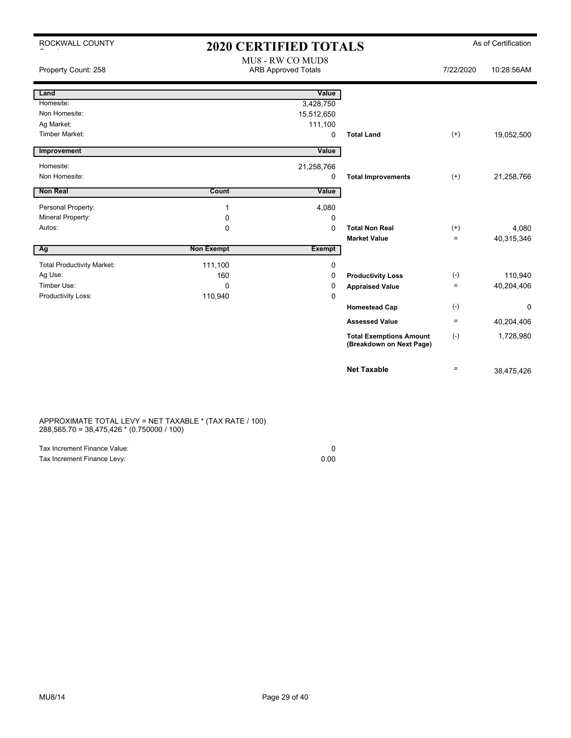| ROCKWALL COUNTY                   | <b>2020 CERTIFIED TOTALS</b> |                                                |                                                            |           | As of Certification |
|-----------------------------------|------------------------------|------------------------------------------------|------------------------------------------------------------|-----------|---------------------|
| Property Count: 258               |                              | MU8 - RW CO MUD8<br><b>ARB Approved Totals</b> |                                                            | 7/22/2020 | 10:28:56AM          |
| Land                              |                              | Value                                          |                                                            |           |                     |
| Homesite:                         |                              | 3,428,750                                      |                                                            |           |                     |
| Non Homesite:                     |                              | 15,512,650                                     |                                                            |           |                     |
| Ag Market:                        |                              | 111,100                                        |                                                            |           |                     |
| <b>Timber Market:</b>             |                              | $\mathbf 0$                                    | <b>Total Land</b>                                          | $^{(+)}$  | 19,052,500          |
| Improvement                       |                              | Value                                          |                                                            |           |                     |
| Homesite:                         |                              | 21,258,766                                     |                                                            |           |                     |
| Non Homesite:                     |                              | 0                                              | <b>Total Improvements</b>                                  | $(+)$     | 21,258,766          |
| <b>Non Real</b>                   | Count                        | Value                                          |                                                            |           |                     |
| Personal Property:                | 1                            | 4,080                                          |                                                            |           |                     |
| Mineral Property:                 | $\mathbf 0$                  | 0                                              |                                                            |           |                     |
| Autos:                            | $\mathbf 0$                  | $\Omega$                                       | <b>Total Non Real</b>                                      | $^{(+)}$  | 4,080               |
|                                   |                              |                                                | <b>Market Value</b>                                        | $=$       | 40,315,346          |
| Ag                                | <b>Non Exempt</b>            | <b>Exempt</b>                                  |                                                            |           |                     |
| <b>Total Productivity Market:</b> | 111,100                      | 0                                              |                                                            |           |                     |
| Ag Use:                           | 160                          | 0                                              | <b>Productivity Loss</b>                                   | $(-)$     | 110,940             |
| Timber Use:                       | $\Omega$                     | 0                                              | <b>Appraised Value</b>                                     | $\equiv$  | 40,204,406          |
| Productivity Loss:                | 110,940                      | $\mathbf 0$                                    |                                                            |           |                     |
|                                   |                              |                                                | <b>Homestead Cap</b>                                       | $(-)$     | $\Omega$            |
|                                   |                              |                                                | <b>Assessed Value</b>                                      | $=$       | 40,204,406          |
|                                   |                              |                                                | <b>Total Exemptions Amount</b><br>(Breakdown on Next Page) | $(-)$     | 1,728,980           |
|                                   |                              |                                                | <b>Net Taxable</b>                                         | $=$       | 38,475,426          |

APPROXIMATE TOTAL LEVY = NET TAXABLE \* (TAX RATE / 100) 288,565.70 = 38,475,426 \* (0.750000 / 100)

| Tax Increment Finance Value: |      |
|------------------------------|------|
| Tax Increment Finance Levy:  | 0.00 |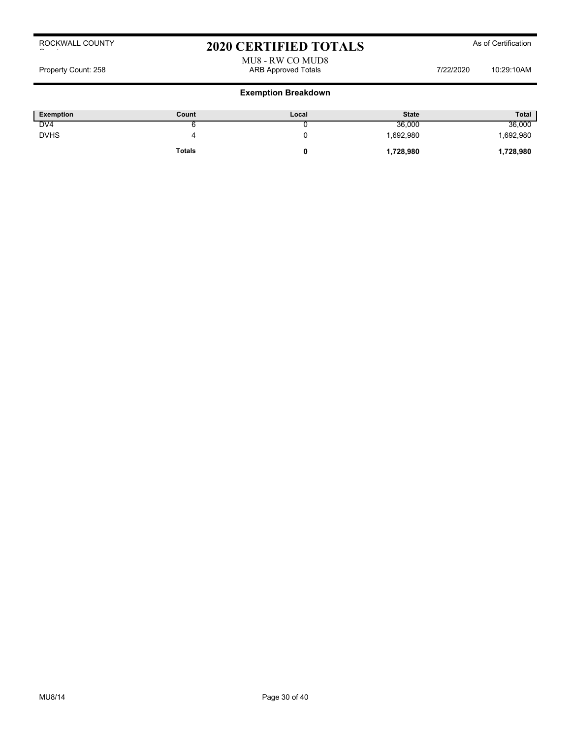# 2020 CERTIFIED TOTALS As of Certification

MU8 - RW CO MUD8 Property Count: 258 ARB Approved Totals 7/22/2020 10:29:10AM

| <b>Exemption</b> | Count         | Local | <b>State</b> | <b>Total</b> |
|------------------|---------------|-------|--------------|--------------|
| DV <sub>4</sub>  | ີ             |       | 36,000       | 36,000       |
| <b>DVHS</b>      |               |       | .692,980     | 1,692,980    |
|                  | <b>Totals</b> |       | 1,728,980    | 1,728,980    |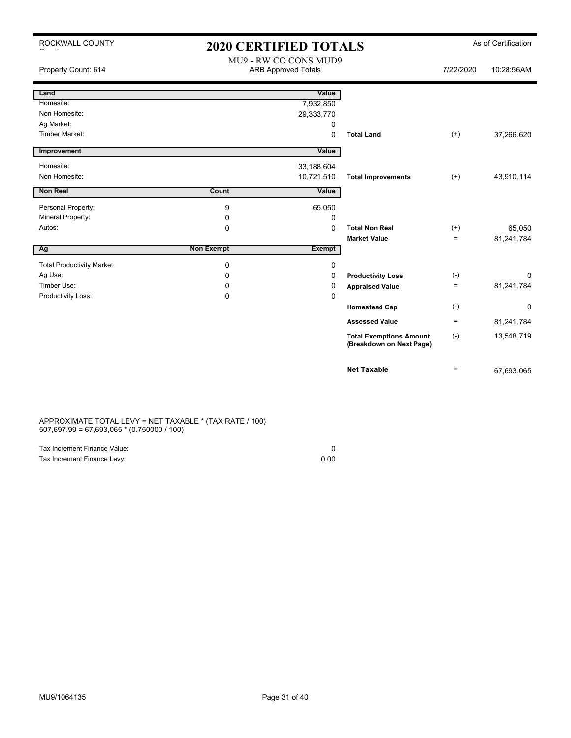| ROCKWALL COUNTY                   | <b>2020 CERTIFIED TOTALS</b> |                                                     |                                                            |                      | As of Certification |
|-----------------------------------|------------------------------|-----------------------------------------------------|------------------------------------------------------------|----------------------|---------------------|
| Property Count: 614               |                              | MU9 - RW CO CONS MUD9<br><b>ARB Approved Totals</b> |                                                            | 7/22/2020            | 10:28:56AM          |
| Land                              |                              | Value                                               |                                                            |                      |                     |
| Homesite:                         |                              | 7,932,850                                           |                                                            |                      |                     |
| Non Homesite:                     |                              | 29,333,770                                          |                                                            |                      |                     |
| Ag Market:                        |                              | 0                                                   |                                                            |                      |                     |
| <b>Timber Market:</b>             |                              | 0                                                   | <b>Total Land</b>                                          | $^{(+)}$             | 37,266,620          |
| Improvement                       |                              | Value                                               |                                                            |                      |                     |
| Homesite:                         |                              | 33,188,604                                          |                                                            |                      |                     |
| Non Homesite:                     |                              | 10,721,510                                          | <b>Total Improvements</b>                                  | $(+)$                | 43,910,114          |
| <b>Non Real</b>                   | Count                        | Value                                               |                                                            |                      |                     |
|                                   |                              |                                                     |                                                            |                      |                     |
| Personal Property:                | 9                            | 65,050                                              |                                                            |                      |                     |
| <b>Mineral Property:</b>          | 0                            | 0                                                   | <b>Total Non Real</b>                                      |                      |                     |
| Autos:                            | 0                            | 0                                                   | <b>Market Value</b>                                        | $^{(+)}$<br>$\equiv$ | 65,050              |
| <b>Ag</b>                         | <b>Non Exempt</b>            | <b>Exempt</b>                                       |                                                            |                      | 81,241,784          |
|                                   |                              |                                                     |                                                            |                      |                     |
| <b>Total Productivity Market:</b> | 0                            | 0                                                   |                                                            |                      |                     |
| Ag Use:                           | 0                            | 0                                                   | <b>Productivity Loss</b>                                   | $(-)$                | 0                   |
| Timber Use:                       | 0                            | 0                                                   | <b>Appraised Value</b>                                     | $\equiv$             | 81,241,784          |
| Productivity Loss:                | 0                            | 0                                                   |                                                            |                      |                     |
|                                   |                              |                                                     | <b>Homestead Cap</b>                                       | $(-)$                | 0                   |
|                                   |                              |                                                     | <b>Assessed Value</b>                                      | $\equiv$             | 81,241,784          |
|                                   |                              |                                                     | <b>Total Exemptions Amount</b><br>(Breakdown on Next Page) | $(-)$                | 13,548,719          |
|                                   |                              |                                                     | <b>Net Taxable</b>                                         | $\equiv$             | 67,693,065          |

#### APPROXIMATE TOTAL LEVY = NET TAXABLE \* (TAX RATE / 100) 507,697.99 = 67,693,065 \* (0.750000 / 100)

| Tax Increment Finance Value: |      |
|------------------------------|------|
| Tax Increment Finance Levy:  | 0.00 |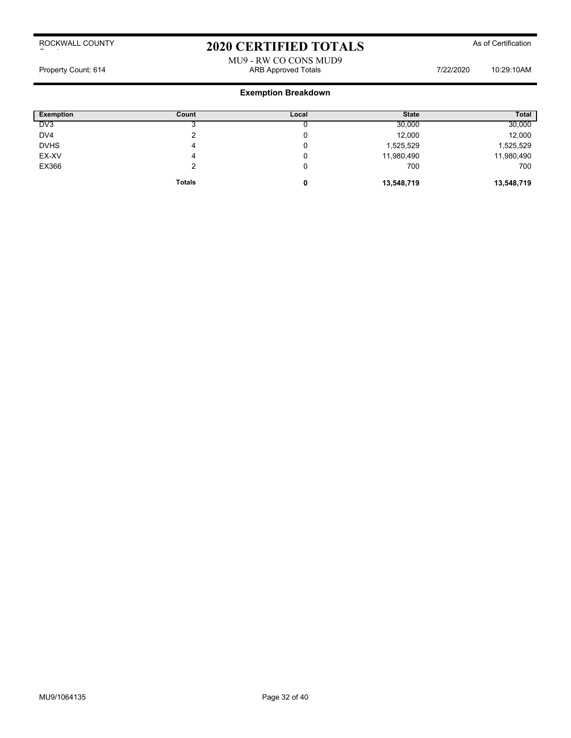# 2020 CERTIFIED TOTALS As of Certification

#### MU9 - RW CO CONS MUD9 Property Count: 614 **ARB Approved Totals 7/22/2020** 10:29:10AM

| <b>Exemption</b> | Count         | Local | <b>State</b> | <b>Total</b> |
|------------------|---------------|-------|--------------|--------------|
| DV <sub>3</sub>  |               |       | 30,000       | 30,000       |
| DV4              | ◠             |       | 12,000       | 12,000       |
| <b>DVHS</b>      | 4             |       | 1,525,529    | 1,525,529    |
| EX-XV            | 4             |       | 11,980,490   | 11,980,490   |
| EX366            |               |       | 700          | 700          |
|                  | <b>Totals</b> | 0     | 13,548,719   | 13,548,719   |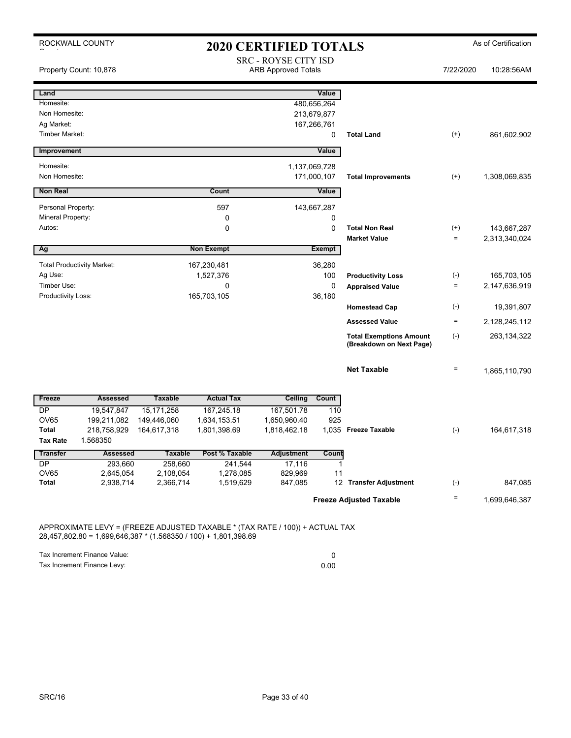| ROCKWALL COUNTY                   |                      |                      |                          | <b>2020 CERTIFIED TOTALS</b>                              |                            |                                                            |                            | As of Certification |
|-----------------------------------|----------------------|----------------------|--------------------------|-----------------------------------------------------------|----------------------------|------------------------------------------------------------|----------------------------|---------------------|
| Property Count: 10,878            |                      |                      |                          | <b>SRC - ROYSE CITY ISD</b><br><b>ARB Approved Totals</b> |                            |                                                            | 7/22/2020                  | 10:28:56AM          |
| Land                              |                      |                      |                          |                                                           | Value                      |                                                            |                            |                     |
| Homesite:                         |                      |                      |                          |                                                           | 480,656,264                |                                                            |                            |                     |
| Non Homesite:<br>Ag Market:       |                      |                      |                          |                                                           | 213,679,877<br>167,266,761 |                                                            |                            |                     |
| <b>Timber Market:</b>             |                      |                      |                          |                                                           | 0                          | <b>Total Land</b>                                          | $^{(+)}$                   | 861,602,902         |
|                                   |                      |                      |                          |                                                           |                            |                                                            |                            |                     |
| Improvement                       |                      |                      |                          |                                                           | Value                      |                                                            |                            |                     |
| Homesite:                         |                      |                      |                          |                                                           | 1,137,069,728              |                                                            |                            |                     |
| Non Homesite:                     |                      |                      |                          |                                                           | 171,000,107                | <b>Total Improvements</b>                                  | $^{(+)}$                   | 1,308,069,835       |
| <b>Non Real</b>                   |                      |                      | Count                    |                                                           | Value                      |                                                            |                            |                     |
| Personal Property:                |                      |                      | 597                      |                                                           | 143,667,287                |                                                            |                            |                     |
| Mineral Property:                 |                      |                      | 0                        |                                                           | 0                          |                                                            |                            |                     |
| Autos:                            |                      |                      | $\mathbf 0$              |                                                           | 0                          | <b>Total Non Real</b>                                      | $^{(+)}$                   | 143,667,287         |
|                                   |                      |                      | <b>Non Exempt</b>        |                                                           | <b>Exempt</b>              | <b>Market Value</b>                                        | $\equiv$                   | 2,313,340,024       |
| Ag                                |                      |                      |                          |                                                           |                            |                                                            |                            |                     |
| <b>Total Productivity Market:</b> |                      |                      | 167,230,481              |                                                           | 36,280                     |                                                            |                            |                     |
| Ag Use:<br>Timber Use:            |                      |                      | 1,527,376<br>$\mathbf 0$ |                                                           | 100<br>0                   | <b>Productivity Loss</b>                                   | $(\cdot)$<br>$\equiv$      | 165,703,105         |
| <b>Productivity Loss:</b>         |                      |                      | 165,703,105              |                                                           | 36,180                     | <b>Appraised Value</b>                                     |                            | 2,147,636,919       |
|                                   |                      |                      |                          |                                                           |                            | <b>Homestead Cap</b>                                       | $(\cdot)$                  | 19,391,807          |
|                                   |                      |                      |                          |                                                           |                            | <b>Assessed Value</b>                                      | $\quad \  \, =\quad \  \,$ | 2,128,245,112       |
|                                   |                      |                      |                          |                                                           |                            | <b>Total Exemptions Amount</b><br>(Breakdown on Next Page) | $(\cdot)$                  | 263, 134, 322       |
|                                   |                      |                      |                          |                                                           |                            | <b>Net Taxable</b>                                         | $=$                        | 1,865,110,790       |
| Freeze                            | <b>Assessed</b>      | <b>Taxable</b>       | <b>Actual Tax</b>        | <b>Ceiling</b>                                            | Count                      |                                                            |                            |                     |
| <b>DP</b>                         | 19,547,847           | 15, 171, 258         | 167,245.18               | 167,501.78                                                | 110                        |                                                            |                            |                     |
| <b>OV65</b>                       | 199,211,082          | 149,446,060          | 1,634,153.51             | 1,650,960.40                                              | 925                        |                                                            |                            |                     |
| <b>Total</b>                      | 218,758,929          | 164,617,318          | 1,801,398.69             | 1,818,462.18                                              |                            | 1,035 Freeze Taxable                                       | $(\cdot)$                  | 164,617,318         |
| <b>Tax Rate</b>                   | 1.568350             |                      |                          |                                                           |                            |                                                            |                            |                     |
| <b>Transfer</b>                   | <b>Assessed</b>      | <b>Taxable</b>       | Post % Taxable           | <b>Adjustment</b>                                         | Count                      |                                                            |                            |                     |
| <b>DP</b><br>OV65                 | 293,660<br>2,645,054 | 258,660<br>2,108,054 | 241,544<br>1,278,085     | 17,116<br>829,969                                         | $\mathbf{1}$<br>11         |                                                            |                            |                     |
| <b>Total</b>                      | 2,938,714            | 2,366,714            | 1,519,629                | 847,085                                                   |                            | 12 Transfer Adjustment                                     | $(\cdot)$                  | 847,085             |
|                                   |                      |                      |                          |                                                           |                            |                                                            | $\quad \  \, =\quad \  \,$ |                     |
|                                   |                      |                      |                          |                                                           |                            | <b>Freeze Adjusted Taxable</b>                             |                            | 1,699,646,387       |

APPROXIMATE LEVY = (FREEZE ADJUSTED TAXABLE \* (TAX RATE / 100)) + ACTUAL TAX 28,457,802.80 = 1,699,646,387 \* (1.568350 / 100) + 1,801,398.69

Tax Increment Finance Value: 0<br>
Tax Increment Finance Levy: 0<br>
0.00 Tax Increment Finance Levy: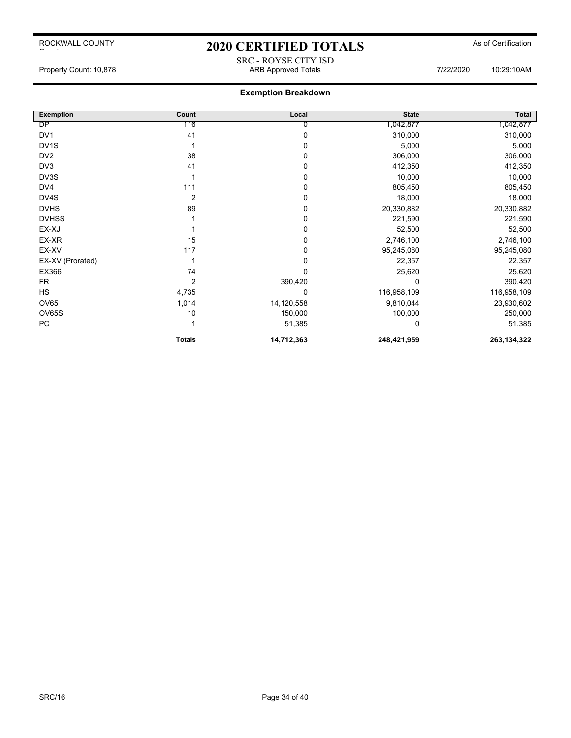# 2020 CERTIFIED TOTALS As of Certification SRC - ROYSE CITY ISD

Property Count: 10,878 ARB Approved Totals 7/22/2020 10:29:10AM

| <b>Exemption</b>  | Count          | Local      | <b>State</b> | Total         |
|-------------------|----------------|------------|--------------|---------------|
| DP                | 116            | 0          | 1,042,877    | 1,042,877     |
| DV <sub>1</sub>   | 41             | 0          | 310,000      | 310,000       |
| DV <sub>1</sub> S |                | 0          | 5,000        | 5,000         |
| DV <sub>2</sub>   | 38             | $\Omega$   | 306,000      | 306,000       |
| DV <sub>3</sub>   | 41             | 0          | 412,350      | 412,350       |
| DV3S              |                | 0          | 10,000       | 10,000        |
| DV4               | 111            | 0          | 805,450      | 805,450       |
| DV4S              | 2              | 0          | 18,000       | 18,000        |
| <b>DVHS</b>       | 89             | 0          | 20,330,882   | 20,330,882    |
| <b>DVHSS</b>      |                | 0          | 221,590      | 221,590       |
| EX-XJ             |                | $\Omega$   | 52,500       | 52,500        |
| EX-XR             | 15             | 0          | 2,746,100    | 2,746,100     |
| EX-XV             | 117            | 0          | 95,245,080   | 95,245,080    |
| EX-XV (Prorated)  |                | $\Omega$   | 22,357       | 22,357        |
| EX366             | 74             | 0          | 25,620       | 25,620        |
| <b>FR</b>         | $\overline{2}$ | 390,420    |              | 390,420       |
| HS                | 4,735          | 0          | 116,958,109  | 116,958,109   |
| <b>OV65</b>       | 1,014          | 14,120,558 | 9,810,044    | 23,930,602    |
| OV65S             | 10             | 150,000    | 100,000      | 250,000       |
| PC                |                | 51,385     |              | 51,385        |
|                   | <b>Totals</b>  | 14,712,363 | 248,421,959  | 263, 134, 322 |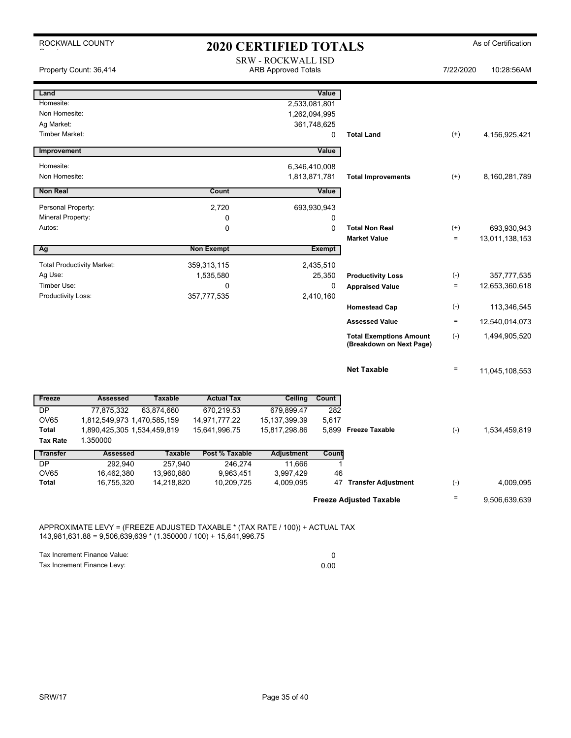| ROCKWALL COUNTY<br><b>2020 CERTIFIED TOTALS</b> |                                   |                       |                      |                                                         | As of Certification |                                                            |                   |                |
|-------------------------------------------------|-----------------------------------|-----------------------|----------------------|---------------------------------------------------------|---------------------|------------------------------------------------------------|-------------------|----------------|
|                                                 | Property Count: 36,414            |                       |                      | <b>SRW - ROCKWALL ISD</b><br><b>ARB Approved Totals</b> |                     |                                                            | 7/22/2020         | 10:28:56AM     |
| Land                                            |                                   |                       |                      |                                                         | Value               |                                                            |                   |                |
| Homesite:                                       |                                   |                       |                      | 2,533,081,801                                           |                     |                                                            |                   |                |
| Non Homesite:                                   |                                   |                       |                      |                                                         | 1,262,094,995       |                                                            |                   |                |
| Ag Market:                                      |                                   |                       |                      |                                                         | 361,748,625         |                                                            |                   |                |
| <b>Timber Market:</b>                           |                                   |                       |                      |                                                         | $\mathbf 0$         | <b>Total Land</b>                                          | $(+)$             | 4,156,925,421  |
| Improvement                                     |                                   |                       |                      |                                                         | Value               |                                                            |                   |                |
| Homesite:                                       |                                   |                       |                      |                                                         | 6,346,410,008       |                                                            |                   |                |
| Non Homesite:                                   |                                   |                       |                      |                                                         | 1,813,871,781       | <b>Total Improvements</b>                                  | $^{(+)}$          | 8,160,281,789  |
| <b>Non Real</b>                                 |                                   |                       | Count                |                                                         | Value               |                                                            |                   |                |
| Personal Property:                              |                                   |                       |                      |                                                         |                     |                                                            |                   |                |
| Mineral Property:                               |                                   |                       | 2,720<br>$\mathbf 0$ |                                                         | 693,930,943<br>0    |                                                            |                   |                |
| Autos:                                          |                                   |                       | 0                    |                                                         | 0                   | <b>Total Non Real</b>                                      | $^{(+)}$          | 693,930,943    |
|                                                 |                                   |                       |                      |                                                         |                     | <b>Market Value</b>                                        | $\qquad \qquad =$ | 13,011,138,153 |
| Ag                                              |                                   |                       | <b>Non Exempt</b>    |                                                         | <b>Exempt</b>       |                                                            |                   |                |
|                                                 | <b>Total Productivity Market:</b> |                       | 359,313,115          |                                                         | 2,435,510           |                                                            |                   |                |
| Ag Use:                                         |                                   |                       | 1,535,580            |                                                         | 25,350              | <b>Productivity Loss</b>                                   | $(\text{-})$      | 357,777,535    |
| Timber Use:                                     |                                   |                       | $\mathbf 0$          |                                                         | 0                   | <b>Appraised Value</b>                                     | $\quad \  \  =$   | 12,653,360,618 |
| Productivity Loss:                              |                                   |                       | 357,777,535          |                                                         | 2,410,160           |                                                            |                   |                |
|                                                 |                                   |                       |                      |                                                         |                     | <b>Homestead Cap</b>                                       | $(\text{-})$      | 113,346,545    |
|                                                 |                                   |                       |                      |                                                         |                     | <b>Assessed Value</b>                                      | $\equiv$          | 12,540,014,073 |
|                                                 |                                   |                       |                      |                                                         |                     | <b>Total Exemptions Amount</b><br>(Breakdown on Next Page) | $(-)$             | 1,494,905,520  |
|                                                 |                                   |                       |                      |                                                         |                     | <b>Net Taxable</b>                                         | Ξ                 | 11,045,108,553 |
| Freeze                                          | <b>Assessed</b>                   | <b>Taxable</b>        | <b>Actual Tax</b>    | Ceiling                                                 | Count               |                                                            |                   |                |
| DP                                              | 77,875,332                        | 63,874,660            | 670,219.53           | 679,899.47                                              | 282                 |                                                            |                   |                |
| <b>OV65</b>                                     | 1,812,549,973 1,470,585,159       |                       | 14,971,777.22        | 15, 137, 399. 39                                        | 5,617               |                                                            |                   |                |
| <b>Total</b>                                    | 1,890,425,305 1,534,459,819       |                       | 15,641,996.75        | 15,817,298.86                                           |                     | 5,899 Freeze Taxable                                       | $(-)$             | 1,534,459,819  |
| <b>Tax Rate</b>                                 | 1.350000                          |                       |                      |                                                         |                     |                                                            |                   |                |
| <b>Transfer</b>                                 | <b>Assessed</b>                   | <b>Taxable</b>        | Post % Taxable       | <b>Adjustment</b>                                       | Count               |                                                            |                   |                |
| <b>DP</b><br><b>OV65</b>                        | 292,940<br>16,462,380             | 257,940<br>13,960,880 | 246,274<br>9,963,451 | 11,666<br>3,997,429                                     | 1<br>46             |                                                            |                   |                |
| <b>Total</b>                                    | 16,755,320                        | 14,218,820            | 10,209,725           | 4,009,095                                               |                     | 47 Transfer Adjustment                                     | $(\cdot)$         | 4,009,095      |
|                                                 |                                   |                       |                      |                                                         |                     | <b>Freeze Adjusted Taxable</b>                             | $\qquad \qquad =$ | 9,506,639,639  |

APPROXIMATE LEVY = (FREEZE ADJUSTED TAXABLE \* (TAX RATE / 100)) + ACTUAL TAX 143,981,631.88 = 9,506,639,639 \* (1.350000 / 100) + 15,641,996.75

Tax Increment Finance Value: 0<br>
Tax Increment Finance Levy: 0<br>
0.00 Tax Increment Finance Levy: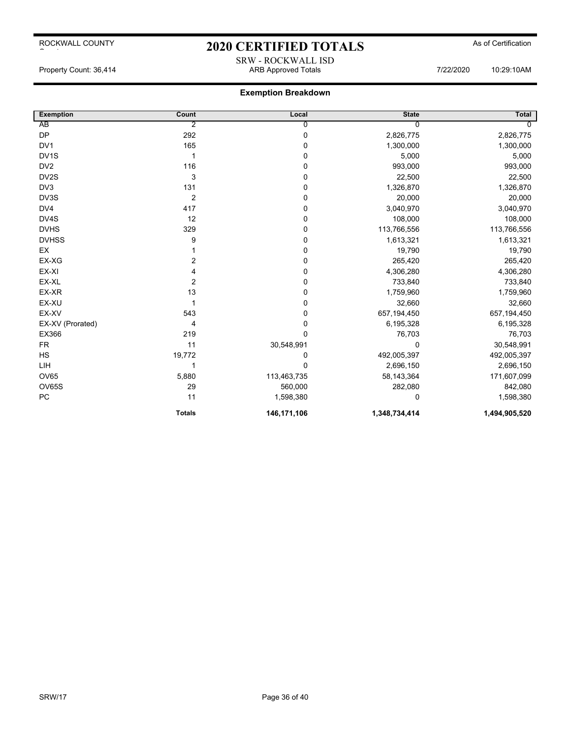# 2020 CERTIFIED TOTALS As of Certification SRW - ROCKWALL ISD

#### Property Count: 36,414 ARB Approved Totals 7/22/2020 10:29:10AM

| <b>Exemption</b>  | Count            | Local       | <b>State</b>  | <b>Total</b>   |
|-------------------|------------------|-------------|---------------|----------------|
| AB                | 2                | 0           | ∩             | $\overline{0}$ |
| <b>DP</b>         | 292              | 0           | 2,826,775     | 2,826,775      |
| DV <sub>1</sub>   | 165              | 0           | 1,300,000     | 1,300,000      |
| DV <sub>1</sub> S |                  | 0           | 5,000         | 5,000          |
| DV <sub>2</sub>   | 116              | 0           | 993,000       | 993,000        |
| DV2S              | 3                | 0           | 22,500        | 22,500         |
| DV3               | 131              | 0           | 1,326,870     | 1,326,870      |
| DV3S              | $\overline{2}$   | 0           | 20,000        | 20,000         |
| DV4               | 417              | 0           | 3,040,970     | 3,040,970      |
| DV4S              | 12               | 0           | 108,000       | 108,000        |
| <b>DVHS</b>       | 329              | 0           | 113,766,556   | 113,766,556    |
| <b>DVHSS</b>      | 9                | 0           | 1,613,321     | 1,613,321      |
| EX                |                  | 0           | 19,790        | 19,790         |
| EX-XG             | $\overline{2}$   | 0           | 265,420       | 265,420        |
| EX-XI             | 4                | 0           | 4,306,280     | 4,306,280      |
| EX-XL             | $\boldsymbol{2}$ | 0           | 733,840       | 733,840        |
| EX-XR             | 13               | 0           | 1,759,960     | 1,759,960      |
| EX-XU             |                  | 0           | 32,660        | 32,660         |
| EX-XV             | 543              | 0           | 657,194,450   | 657,194,450    |
| EX-XV (Prorated)  | 4                | 0           | 6,195,328     | 6,195,328      |
| EX366             | 219              | 0           | 76,703        | 76,703         |
| <b>FR</b>         | 11               | 30,548,991  | $\Omega$      | 30,548,991     |
| HS                | 19,772           | 0           | 492,005,397   | 492,005,397    |
| LIH               |                  | 0           | 2,696,150     | 2,696,150      |
| <b>OV65</b>       | 5,880            | 113,463,735 | 58,143,364    | 171,607,099    |
| OV65S             | 29               | 560,000     | 282,080       | 842,080        |
| PC                | 11               | 1,598,380   | 0             | 1,598,380      |
|                   | <b>Totals</b>    | 146,171,106 | 1,348,734,414 | 1,494,905,520  |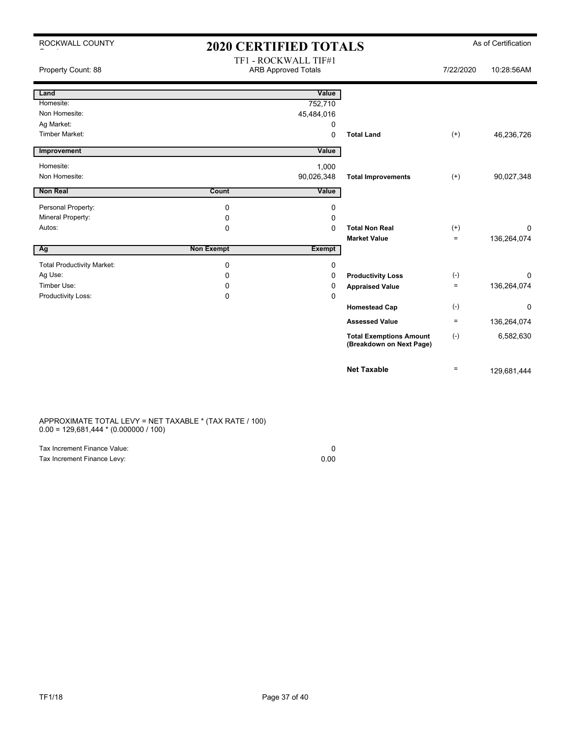| ROCKWALL COUNTY                   | 2020 CERTIFIED TOTALS |                                                    |                                                            |           | As of Certification |
|-----------------------------------|-----------------------|----------------------------------------------------|------------------------------------------------------------|-----------|---------------------|
| Property Count: 88                |                       | TF1 - ROCKWALL TIF#1<br><b>ARB Approved Totals</b> |                                                            | 7/22/2020 | 10:28:56AM          |
| Land                              |                       | Value                                              |                                                            |           |                     |
| Homesite:                         |                       | 752,710                                            |                                                            |           |                     |
| Non Homesite:                     |                       | 45,484,016                                         |                                                            |           |                     |
| Ag Market:                        |                       | 0                                                  |                                                            |           |                     |
| <b>Timber Market:</b>             |                       | 0                                                  | <b>Total Land</b>                                          | $^{(+)}$  | 46,236,726          |
| Improvement                       |                       | Value                                              |                                                            |           |                     |
| Homesite:                         |                       | 1,000                                              |                                                            |           |                     |
| Non Homesite:                     |                       | 90,026,348                                         | <b>Total Improvements</b>                                  | $(+)$     | 90,027,348          |
| <b>Non Real</b>                   | Count                 | Value                                              |                                                            |           |                     |
| Personal Property:                | 0                     | 0                                                  |                                                            |           |                     |
| Mineral Property:                 | 0                     | $\mathbf 0$                                        |                                                            |           |                     |
| Autos:                            | $\Omega$              | $\Omega$                                           | <b>Total Non Real</b>                                      | $^{(+)}$  | $\Omega$            |
|                                   |                       |                                                    | <b>Market Value</b>                                        | $\equiv$  | 136,264,074         |
| Ag                                | <b>Non Exempt</b>     | <b>Exempt</b>                                      |                                                            |           |                     |
| <b>Total Productivity Market:</b> | 0                     | 0                                                  |                                                            |           |                     |
| Ag Use:                           | 0                     | 0                                                  | <b>Productivity Loss</b>                                   | $(-)$     | 0                   |
| Timber Use:                       | 0                     | 0                                                  | <b>Appraised Value</b>                                     | $\equiv$  | 136,264,074         |
| Productivity Loss:                | $\mathbf 0$           | $\mathbf 0$                                        |                                                            |           |                     |
|                                   |                       |                                                    | <b>Homestead Cap</b>                                       | $(-)$     | 0                   |
|                                   |                       |                                                    | <b>Assessed Value</b>                                      | $\equiv$  | 136,264,074         |
|                                   |                       |                                                    | <b>Total Exemptions Amount</b><br>(Breakdown on Next Page) | $(-)$     | 6,582,630           |
|                                   |                       |                                                    | <b>Net Taxable</b>                                         | $\equiv$  | 129,681,444         |

APPROXIMATE TOTAL LEVY = NET TAXABLE \* (TAX RATE / 100) 0.00 = 129,681,444 \* (0.000000 / 100)

| Tax Increment Finance Value: |      |
|------------------------------|------|
| Tax Increment Finance Levy:  | 0.00 |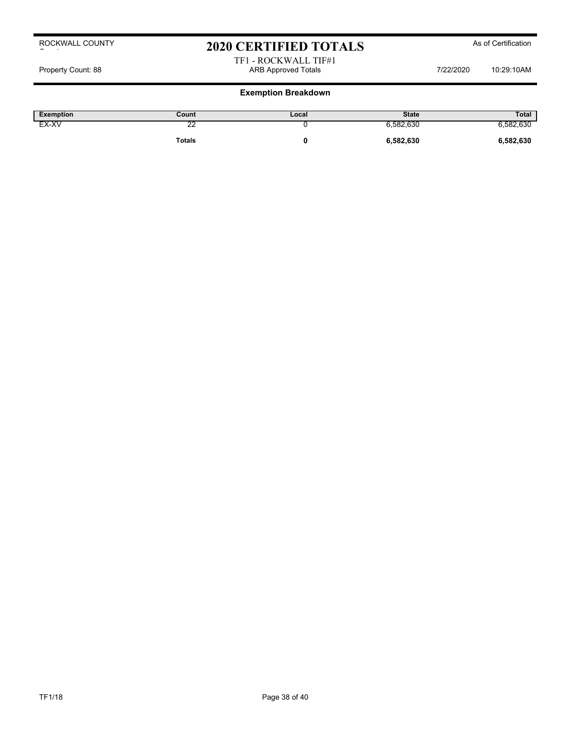# 2020 CERTIFIED TOTALS As of Certification

#### TF1 - ROCKWALL TIF#1 Property Count: 88 ARB Approved Totals 7/22/2020 10:29:10AM

| <b>Exemption</b> | Count                                 | Local | <b>State</b> | <b>Total</b>    |
|------------------|---------------------------------------|-------|--------------|-----------------|
| EX-XV            | $\overline{\phantom{a}}$<br><u>__</u> |       | 6,582,630    | 630<br>582,630, |
|                  | <b>Totals</b>                         |       | 6,582,630    | 6,582,630       |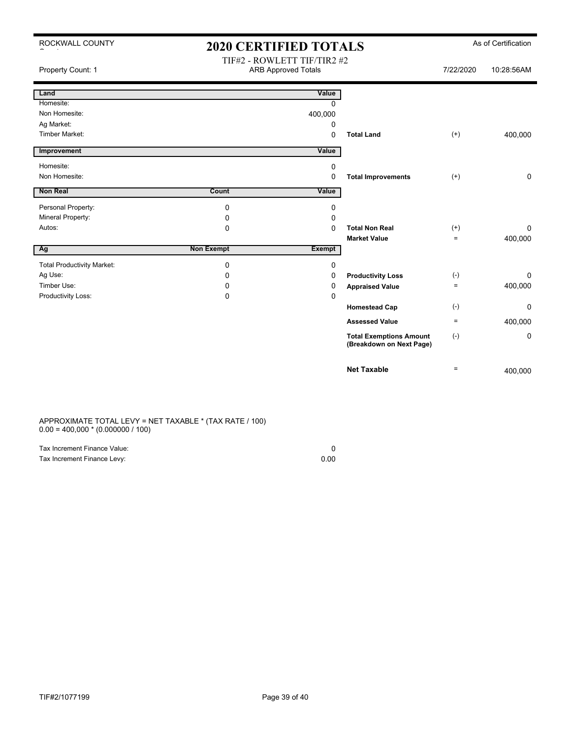| ROCKWALL COUNTY                   | <b>2020 CERTIFIED TOTALS</b> |                                                           |                                                            |           | As of Certification |
|-----------------------------------|------------------------------|-----------------------------------------------------------|------------------------------------------------------------|-----------|---------------------|
| Property Count: 1                 |                              | TIF#2 - ROWLETT TIF/TIR2 #2<br><b>ARB Approved Totals</b> |                                                            | 7/22/2020 | 10:28:56AM          |
| Land                              |                              | Value                                                     |                                                            |           |                     |
| Homesite:                         |                              | $\Omega$                                                  |                                                            |           |                     |
| Non Homesite:                     |                              | 400,000                                                   |                                                            |           |                     |
| Ag Market:                        |                              | 0                                                         |                                                            |           |                     |
| <b>Timber Market:</b>             |                              | $\Omega$                                                  | <b>Total Land</b>                                          | $^{(+)}$  | 400,000             |
| Improvement                       |                              | Value                                                     |                                                            |           |                     |
| Homesite:                         |                              | 0                                                         |                                                            |           |                     |
| Non Homesite:                     |                              | $\Omega$                                                  | <b>Total Improvements</b>                                  | $^{(+)}$  | $\mathbf 0$         |
| Non Real                          | Count                        | Value                                                     |                                                            |           |                     |
| Personal Property:                | 0                            | 0                                                         |                                                            |           |                     |
| Mineral Property:                 | 0                            | 0                                                         |                                                            |           |                     |
| Autos:                            | $\Omega$                     | $\Omega$                                                  | <b>Total Non Real</b>                                      | $^{(+)}$  | $\Omega$            |
|                                   |                              |                                                           | <b>Market Value</b>                                        | $=$       | 400,000             |
| Ag                                | <b>Non Exempt</b>            | <b>Exempt</b>                                             |                                                            |           |                     |
| <b>Total Productivity Market:</b> | 0                            | 0                                                         |                                                            |           |                     |
| Ag Use:                           | 0                            | 0                                                         | <b>Productivity Loss</b>                                   | $(-)$     | $\Omega$            |
| Timber Use:                       | 0                            | 0                                                         | <b>Appraised Value</b>                                     | $=$       | 400,000             |
| Productivity Loss:                | 0                            | 0                                                         |                                                            |           |                     |
|                                   |                              |                                                           | <b>Homestead Cap</b>                                       | $(-)$     | $\Omega$            |
|                                   |                              |                                                           | <b>Assessed Value</b>                                      | $\equiv$  | 400,000             |
|                                   |                              |                                                           | <b>Total Exemptions Amount</b><br>(Breakdown on Next Page) | $(-)$     | 0                   |
|                                   |                              |                                                           | <b>Net Taxable</b>                                         | $\equiv$  | 400,000             |

#### APPROXIMATE TOTAL LEVY = NET TAXABLE \* (TAX RATE / 100)  $0.00 = 400,000 * (0.000000 / 100)$

| Tax Increment Finance Value: |      |
|------------------------------|------|
| Tax Increment Finance Levy:  | 0.00 |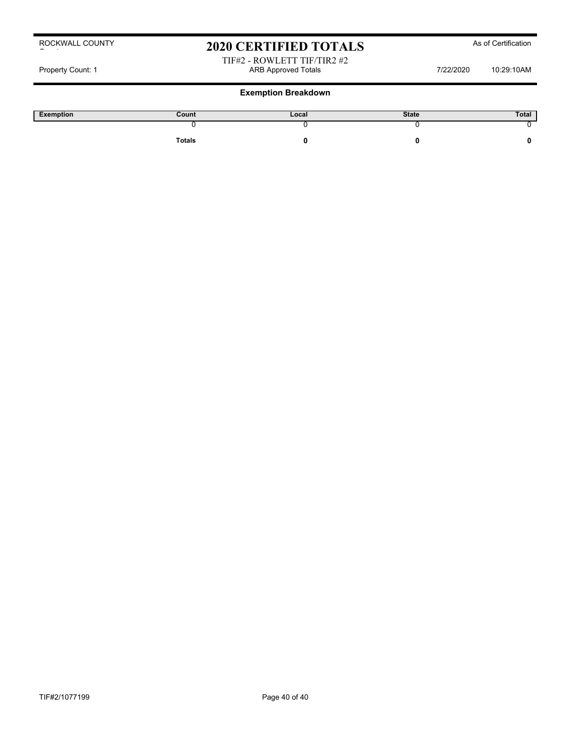# 2020 CERTIFIED TOTALS As of Certification

#### TIF#2 - ROWLETT TIF/TIR2 #2 Property Count: 1 **ARB Approved Totals** ARB Approved Totals 7/22/2020 10:29:10AM

| Exemption | Count  | Local | <b>State</b> | Total |
|-----------|--------|-------|--------------|-------|
|           |        |       |              |       |
|           | Totals |       |              |       |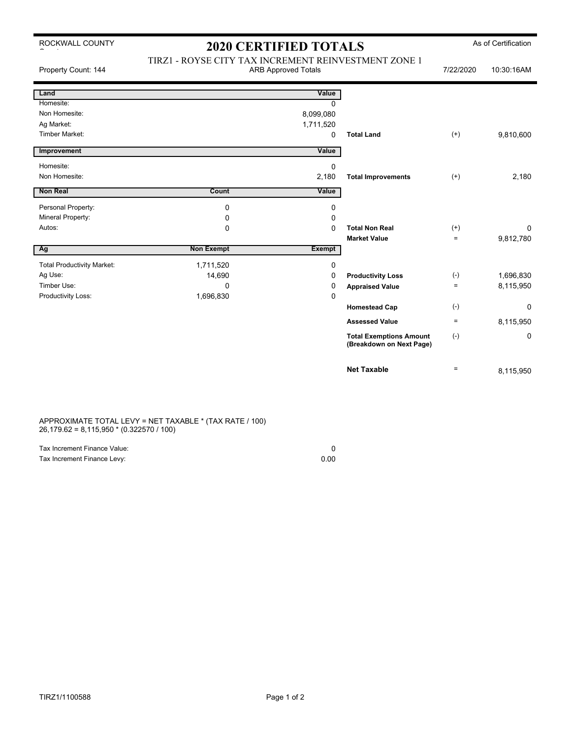# 2020 CERTIFIED TOTALS As of Certification

| Property Count: 144               | TIRZ1 - ROYSE CITY TAX INCREMENT REINVESTMENT ZONE 1<br><b>ARB Approved Totals</b> |               |                                                            | 7/22/2020 | 10:30:16AM |
|-----------------------------------|------------------------------------------------------------------------------------|---------------|------------------------------------------------------------|-----------|------------|
| Land                              |                                                                                    | Value         |                                                            |           |            |
| Homesite:                         |                                                                                    | $\Omega$      |                                                            |           |            |
| Non Homesite:                     |                                                                                    | 8,099,080     |                                                            |           |            |
| Ag Market:                        |                                                                                    | 1,711,520     |                                                            |           |            |
| Timber Market:                    |                                                                                    | $\mathbf 0$   | <b>Total Land</b>                                          | $(+)$     | 9,810,600  |
| Improvement                       |                                                                                    | Value         |                                                            |           |            |
| Homesite:                         |                                                                                    | 0             |                                                            |           |            |
| Non Homesite:                     |                                                                                    | 2,180         | <b>Total Improvements</b>                                  | $(+)$     | 2,180      |
| <b>Non Real</b>                   | <b>Count</b>                                                                       | Value         |                                                            |           |            |
| Personal Property:                | 0                                                                                  | 0             |                                                            |           |            |
| Mineral Property:                 | 0                                                                                  | 0             |                                                            |           |            |
| Autos:                            | $\mathbf 0$                                                                        | $\Omega$      | <b>Total Non Real</b>                                      | $(+)$     | 0          |
|                                   |                                                                                    |               | <b>Market Value</b>                                        | $=$       | 9,812,780  |
| Ag                                | <b>Non Exempt</b>                                                                  | <b>Exempt</b> |                                                            |           |            |
| <b>Total Productivity Market:</b> | 1,711,520                                                                          | 0             |                                                            |           |            |
| Ag Use:                           | 14,690                                                                             | 0             | <b>Productivity Loss</b>                                   | $(-)$     | 1,696,830  |
| Timber Use:                       | $\Omega$                                                                           | 0             | <b>Appraised Value</b>                                     | $=$       | 8,115,950  |
| Productivity Loss:                | 1,696,830                                                                          | 0             |                                                            |           |            |
|                                   |                                                                                    |               | <b>Homestead Cap</b>                                       | $(-)$     | 0          |
|                                   |                                                                                    |               | <b>Assessed Value</b>                                      | $\equiv$  | 8,115,950  |
|                                   |                                                                                    |               | <b>Total Exemptions Amount</b><br>(Breakdown on Next Page) | $(-)$     | 0          |
|                                   |                                                                                    |               | <b>Net Taxable</b>                                         | $\equiv$  | 8,115,950  |

APPROXIMATE TOTAL LEVY = NET TAXABLE \* (TAX RATE / 100) 26,179.62 = 8,115,950 \* (0.322570 / 100)

| Tax Increment Finance Value: |      |
|------------------------------|------|
| Tax Increment Finance Levy:  | 0.00 |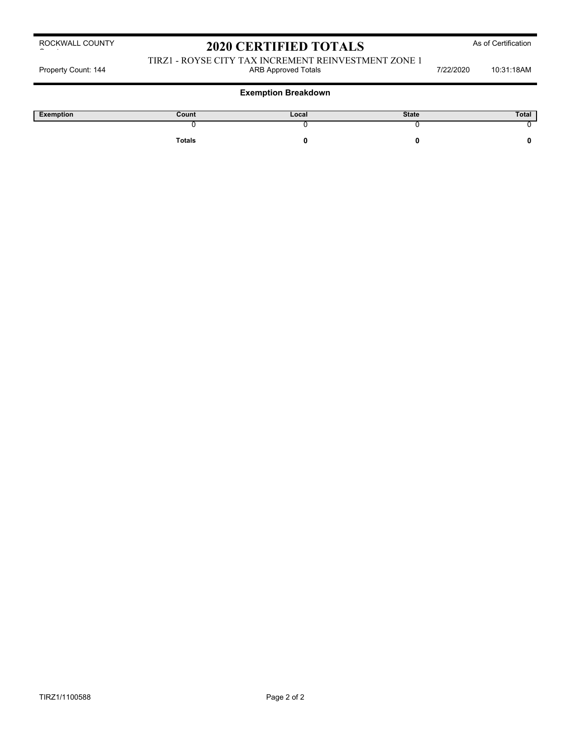# 2020 CERTIFIED TOTALS As of Certification

#### TIRZ1 - ROYSE CITY TAX INCREMENT REINVESTMENT ZONE 1 Property Count: 144 **ARB Approved Totals ARB Approved Totals** 7/22/2020 10:31:18AM

| Exemption | Count         | Local | <b>State</b> | Total |
|-----------|---------------|-------|--------------|-------|
|           |               |       |              |       |
|           | <b>Totals</b> |       |              |       |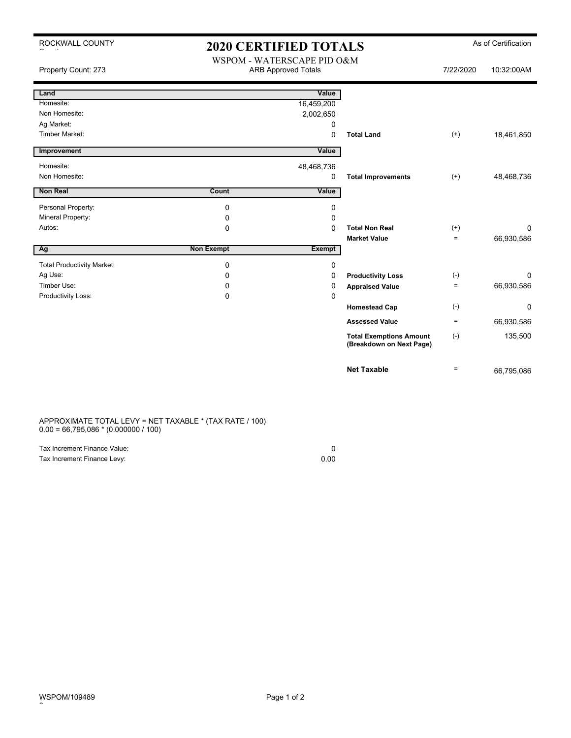| ROCKWALL COUNTY                   | <b>2020 CERTIFIED TOTALS</b>                             |               |                                                            |                   | As of Certification |
|-----------------------------------|----------------------------------------------------------|---------------|------------------------------------------------------------|-------------------|---------------------|
| Property Count: 273               | WSPOM - WATERSCAPE PID O&M<br><b>ARB Approved Totals</b> |               |                                                            | 7/22/2020         | 10:32:00AM          |
| Land                              |                                                          | Value         |                                                            |                   |                     |
| Homesite:                         |                                                          | 16,459,200    |                                                            |                   |                     |
| Non Homesite:                     |                                                          | 2,002,650     |                                                            |                   |                     |
| Ag Market:                        |                                                          | 0             |                                                            |                   |                     |
| <b>Timber Market:</b>             |                                                          | 0             | <b>Total Land</b>                                          | $^{(+)}$          | 18,461,850          |
| Improvement                       |                                                          | Value         |                                                            |                   |                     |
| Homesite:                         |                                                          | 48,468,736    |                                                            |                   |                     |
| Non Homesite:                     |                                                          | 0             | <b>Total Improvements</b>                                  | $(+)$             | 48,468,736          |
| <b>Non Real</b>                   | Count                                                    | Value         |                                                            |                   |                     |
| Personal Property:                | $\mathbf 0$                                              | 0             |                                                            |                   |                     |
| Mineral Property:                 | $\mathbf 0$                                              | $\Omega$      |                                                            |                   |                     |
| Autos:                            | $\mathbf 0$                                              | $\mathbf 0$   | <b>Total Non Real</b>                                      | $^{(+)}$          | $\Omega$            |
|                                   |                                                          |               | <b>Market Value</b>                                        | $\qquad \qquad =$ | 66,930,586          |
| Ag                                | <b>Non Exempt</b>                                        | <b>Exempt</b> |                                                            |                   |                     |
| <b>Total Productivity Market:</b> | $\mathbf 0$                                              | $\pmb{0}$     |                                                            |                   |                     |
| Ag Use:                           | 0                                                        | 0             | <b>Productivity Loss</b>                                   | $(\cdot)$         | 0                   |
| Timber Use:                       | 0                                                        | 0             | <b>Appraised Value</b>                                     | $\equiv$          | 66,930,586          |
| Productivity Loss:                | $\mathbf 0$                                              | $\mathbf 0$   |                                                            |                   |                     |
|                                   |                                                          |               | <b>Homestead Cap</b>                                       | $(-)$             | 0                   |
|                                   |                                                          |               | <b>Assessed Value</b>                                      | $\equiv$          | 66,930,586          |
|                                   |                                                          |               | <b>Total Exemptions Amount</b><br>(Breakdown on Next Page) | $(\text{-})$      | 135,500             |
|                                   |                                                          |               | <b>Net Taxable</b>                                         | $=$               | 66,795,086          |
|                                   |                                                          |               |                                                            |                   |                     |

APPROXIMATE TOTAL LEVY = NET TAXABLE \* (TAX RATE / 100)  $0.00 = 66,795,086 * (0.000000 / 100)$ 

| Tax Increment Finance Value: |      |
|------------------------------|------|
| Tax Increment Finance Levy:  | 0.00 |